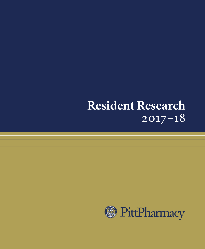# **Resident Research** 2017–18

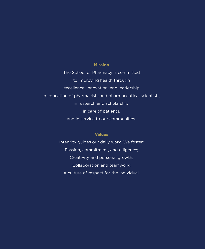#### **Mission**

The School of Pharmacy is committed to improving health through excellence, innovation, and leadership in education of pharmacists and pharmaceutical scientists, in research and scholarship, in care of patients, and in service to our communities.

#### **Values**

Integrity guides our daily work. We foster: Passion, commitment, and diligence; Creativity and personal growth; Collaboration and teamwork; A culture of respect for the individual.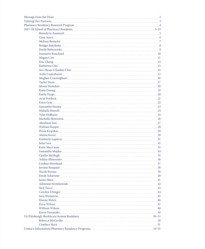| Message from the Dean 22 network and the Message of the Dean 22 network and 23 network and 23 network and 23 network and 23 network and 23 network and 23 network and 23 network and 23 network and 23 network and 23 network  |           |
|--------------------------------------------------------------------------------------------------------------------------------------------------------------------------------------------------------------------------------|-----------|
| Valuing Our Partners 33 and the contract of the contract of the contract of the contract of the contract of the contract of the contract of the contract of the contract of the contract of the contract of the contract of th |           |
| Pharmacy Residency Research Program                                                                                                                                                                                            |           |
| 2017-18 School of Pharmacy Residents 2017-18 School of Pharmacy Residents 2017-18 School of Pharmacy Residents                                                                                                                 |           |
| Benedicta Asamoah                                                                                                                                                                                                              |           |
| Gina Ayers 6.000 6.000 6.000 6.000 6.000 6.000 6.000 6.000 6.000 6.000 6.000 6.000 6.000 6.000 6.000 6.000 6.000 6.000 6.000 6.000 6.000 6.000 6.000 6.000 6.000 6.000 6.000 6.000 6.000 6.000 6.000 6.000 6.000 6.000 6.000 6 |           |
|                                                                                                                                                                                                                                |           |
|                                                                                                                                                                                                                                |           |
| Emily Bobrzynski                                                                                                                                                                                                               |           |
| Jeannette Bouchard 10 and 200 million and 200 million and 200 million and 200 million and 200 million and 200 million and 200 million and 200 million and 200 million and 200 million and 200 million and 200 million and 200  |           |
| Megan Carrelline and the contract of the contract of the contract of the contract of the contract of the contract of the contract of the contract of the contract of the contract of the contract of the contract of the contr |           |
| Eric Cheng 12                                                                                                                                                                                                                  |           |
| Katherine Chorante and Marian and Marian and Marian and Marian and Marian and Marian and Marian and Marian and Marian and Marian and Marian and Marian and Marian and Marian and Marian and Marian and Marian and Marian and M |           |
| Seo-Hyun (Claudia) Choi 14                                                                                                                                                                                                     |           |
|                                                                                                                                                                                                                                |           |
| Meghan Cunningham                                                                                                                                                                                                              |           |
| Taylor Dean 17                                                                                                                                                                                                                 |           |
| Moses Demehin 18                                                                                                                                                                                                               |           |
| Katie Doong 19                                                                                                                                                                                                                 |           |
| Emily Fargo                                                                                                                                                                                                                    |           |
| Ariel Ferdock 21                                                                                                                                                                                                               |           |
| Erica Gray 22                                                                                                                                                                                                                  |           |
|                                                                                                                                                                                                                                |           |
| $\textbf{Mahalia Harrell}\textcolor{red}{\boldsymbol{\text{14.1}}\textbf{15.1}}\textcolor{red}{\boldsymbol{\text{24}}}$                                                                                                        |           |
| Tyler Hoffman 25                                                                                                                                                                                                               |           |
|                                                                                                                                                                                                                                |           |
| Abraham Jose 27                                                                                                                                                                                                                |           |
|                                                                                                                                                                                                                                |           |
| Pooja Kirpekar<br>29                                                                                                                                                                                                           |           |
|                                                                                                                                                                                                                                |           |
| Kimberly Lapierre 31                                                                                                                                                                                                           |           |
| Julia Lees 32                                                                                                                                                                                                                  |           |
|                                                                                                                                                                                                                                |           |
|                                                                                                                                                                                                                                |           |
|                                                                                                                                                                                                                                |           |
| Ashley Mittereder 36                                                                                                                                                                                                           |           |
|                                                                                                                                                                                                                                |           |
| Jerome Pasquale 38                                                                                                                                                                                                             |           |
| Nicole Persun 39                                                                                                                                                                                                               |           |
|                                                                                                                                                                                                                                |           |
| James Shen 41                                                                                                                                                                                                                  |           |
| Adrienne Szymkowiak 12                                                                                                                                                                                                         |           |
| Neil Turco 43                                                                                                                                                                                                                  |           |
| Carolyn Ubinger 44                                                                                                                                                                                                             |           |
| Sara Weinstein                                                                                                                                                                                                                 | 45        |
| Hanna Welch                                                                                                                                                                                                                    | 46        |
| Erica Wilson                                                                                                                                                                                                                   |           |
|                                                                                                                                                                                                                                |           |
|                                                                                                                                                                                                                                | 49        |
| Karin Yamazaki Mahammada katika yang berasa berasara berasara berasara berasara berasara berasara berasara ber<br>VA Pittsburgh Healthcare System Residents                                                                    |           |
|                                                                                                                                                                                                                                |           |
|                                                                                                                                                                                                                                | 51        |
|                                                                                                                                                                                                                                | $52 - 53$ |
|                                                                                                                                                                                                                                |           |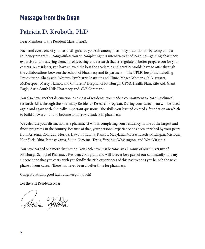# **Message from the Dean**

# **Patricia D. Kroboth, PhD**

Dear Members of the Resident Class of 2018,

Each and every one of you has distinguished yourself among pharmacy practitioners by completing a residency program. I congratulate you on completing this intensive year of learning—gaining pharmacy expertise and mastering elements of teaching and research that triangulate to better prepare you for your careers. As residents, you have enjoyed the best the academic and practice worlds have to offer through the collaborations between the School of Pharmacy and its partners— The UPMC hospitals including Presbyterian, Shadyside, Western Psychiatric Institute and Clinic, Magee-Womens, St. Margaret, McKeesport, Mercy, Hamot, and Childrens' Hospital of Pittsburgh, UPMC Health Plan, Rite Aid, Giant Eagle, Asti's South Hills Pharmacy and CVS Caremark.

You also have another distinction: as a class of residents, you made a commitment to learning clinical research skills through the Pharmacy Residency Research Program. During your career, you will be faced again and again with clinically important questions. The skills you learned created a foundation on which to build answers—and to become tomorrow's leaders in pharmacy.

We celebrate your distinction as a pharmacist who is completing your residency in one of the largest and finest programs in the country. Because of that, your personal experience has been enriched by your peers from Arizona, Colorado, Florida, Hawaii, Indiana, Kansas, Maryland, Massachusetts, Michigan, Missouri, New York, Ohio, Pennsylvania, South Carolina, Texas, Virginia, Washington, and West Virginia.

You have earned one more distinction! You each have just become an alumnus of our University of Pittsburgh School of Pharmacy Residency Program and will forever be a part of our community. It is my sincere hope that you carry with you fondly the rich experiences of this past year as you launch the next phase of your career. There has never been a better time for pharmacy.

Congratulations, good luck, and keep in touch!

Let the Pitt Residents Roar!

Jatricia Krooth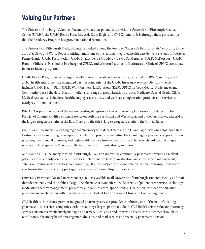# **Valuing Our Partners**

The University Pittsburgh School of Pharmacy values our partnerships with the University of Pittsburgh Medical Center (UPMC), the UPMC Health Plan, Rite Aid, Giant Eagle, and CVS Caremark. It is through these partnerships that the Residency Program has grown in national reputation.

The University of Pittsburgh Medical Center is ranked among the top 10 of "America's Best Hospitals" according to the 2013 U.S. News and World Report rankings and is one of the leading integrated health care delivery systems in Western Pennsylvania. UPMC Presbyterian, UPMC Shadyside, UPMC Mercy, UPMC St. Margaret, UPMC McKeesport, UPMC Hamot, Childrens' Hospital of Pittsburgh of UPMC, and Western Psychiatric Institute and Clinic of UPMC participate in our residency programs.

UPMC Health Plan, the second-largest health insurer in western Pennsylvania, is owned by UPMC, an integrated global health enterprise. The integrated partner companies of the UPMC Insurance Services Division — which includes UPMC Health Plan, UPMC WorkPartners, LifeSolutions (EAP), UPMC for You (Medical Assistance), and Community Care Behavioral Health — offer a full range of group health insurance, Medicare, Special Needs, CHIP, Medical Assistance, behavioral health, employee assistance, and workers' compensation products and services to nearly 2.5 million members.

Rite Aid Corporation is one of the nation's leading drugstore chains with nearly 4,800 stores in 31 states and the District of Columbia, with a strong presence on both the East Coast and West Coast, and 97,000 associates. Rite Aid is the largest drugstore chain on the East Coast and the third- largest drugstore chain in the United States.

Giant Eagle Pharmacy is a leading regional pharmacy with departments in 216 Giant Eagle locations across four states. Customers with qualifying prescriptions benefit from programs including the Giant Eagle \$4/\$10 generic prescription program, free prenatal vitamins, and high-quality service from expertly trained pharmacists. Additional unique services include Specialty Pharmacy offerings, in-store immunizations, and more.

Asti's South Hills Pharmacy, located in Pittsburgh, PA, is an innovative community pharmacy providing excellent patient care in a family atmosphere. Services include comprehensive medication and chronic care management, extensive immunization services, compounding, HIV specialty care, disease state education programs, medication synchronization and specialty packaging as well as traditional dispensing services.

University Pharmacy, located in Nordenberg Hall, is available to all University of Pittsburgh students, faculty and staff, their dependents, and the public at large. The pharmacist team offers a wide variety of patient care services including: medication therapy management, preventive and wellness care, specialized OTC selection, medication education programs in collaboration with practitioners at the Student Health Services Clinic and Counseling Center.

CVS Health is the nation's premier integrated pharmacy services provider, combining one of the nation's leading pharmaceutical services companies with the country's largest pharmacy chain. CVS Health drives value for pharmacy services customers by effectively managing pharmaceutical costs and improving health care outcomes through its retail stores, pharmacy benefit management division, and mail service and specialty pharmacy division.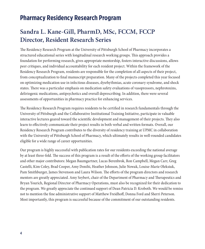# **Pharmacy Residency Research Program**

# **Sandra L. Kane-Gill, PharmD, MSc, FCCM, FCCP Director, Resident Research Series**

The Residency Research Program at the University of Pittsburgh School of Pharmacy incorporates a structured educational series with longitudinal research working groups. This approach provides a foundation for performing research, gives appropriate mentorship, fosters interactive discussions, allows peer critiques, and individual accountability for each resident project. Within the framework of the Residency Research Program, residents are responsible for the completion of all aspects of their project, from conceptualization to final manuscript preparation. Many of the projects completed this year focused on optimizing medication use in infectious diseases, dysrhythmias, acute coronary syndrome, and shock states. There was a particular emphasis on medication safety evaluations of vasopressors, nephrotoxins, deliriogenic medications, antipsychotics and overall deprescribing. In addition, there were several assessments of opportunities in pharmacy practice for enhancing services.

The Residency Research Program requires residents to be certified in research fundamentals through the University of Pittsburgh and the Collaborative Institutional Training Initiative, participate in valuable interactive lectures geared toward the scientific development and management of their projects. They also learn to effectively communicate their project results in both verbal and written formats. Overall, our Residency Research Program contributes to the diversity of residency training at UPMC in collaboration with the University of Pittsburgh School of Pharmacy, which ultimately results in well-rounded candidates eligible for a wide range of career opportunities.

Our program is highly successful with publication rates for our residents exceeding the national average by at least three-fold. The success of this program is a result of the efforts of the working group facilitators and other major contributors: Megan Baumgartner, Lucas Berenbrok, Ron Campbell, Megan Carr, Greg Castelli, Kim Coley, Brad Cooper, Amy Donihi, Heather Johnson, Julie Nowak, Louise-Marie Oleksiuk, Pam Smithburger, James Stevenson and Laura Wilson. The efforts of the program directors and research mentors are greatly appreciated. Amy Seybert, chair of the Department of Pharmacy and Therapeutics and Bryan Yourich, Regional Director of Pharmacy Operations, must also be recognized for their dedication to the program. We greatly appreciate the continued support of Dean Patricia D. Kroboth. We would be remiss not to mention the fine administrative support of Matthew Freidhoff, Donna Ford and Sherri Peterson. Most importantly, this program is successful because of the commitment of our outstanding residents.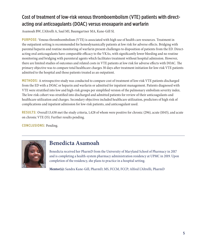### Cost of treatment of low-risk venous thromboembolism (VTE) patients with directacting oral anticoagulants (DOAC) versus enoxaparin and warfarin

Asamoah BW, L'Altrelli A, Saul MI, Baumgartner MA, Kane-Gill SL

**PURPOSE:** Venous thromboembolism (VTE) is associated with high use of health care resources. Treatment in the outpatient setting is recommended for hemodynamically patients at low risk for adverse effects. Bridging with parental heparin and routine monitoring of warfarin present challenges to disposition of patients from the ED. Directacting oral anticoagulants have comparable efficacy to the VKAs, with significantly lower bleeding and no routine monitoring and bridging with parenteral agents which facilitates treatment without hospital admission. However, there are limited studies of outcomes and related costs in VTE patients at low risk for adverse effects with DOAC. The primary objective was to compare total healthcare charges 30 days after treatment initiation for low-risk VTE patients admitted to the hospital and those patients treated as an outpatient.

**METHODS:** A retrospective study was conducted to compare cost of treatment of low-risk VTE patients discharged from the ED with a DOAC or heparin and warfarin or admitted for inpatient management. Patients diagnosed with VTE were stratified into low and high-risk groups per simplified version of the pulmonary embolism severity index. The low-risk cohort was stratified into discharged and admitted patients for review of their anticoagulants and healthcare utilization and charges. Secondary objectives included healthcare utilization, predictors of high risk of complications and inpatient admission for low-risk patients, and anticoagulant used.

**RESULTS:** Overall 13,438 met the study criteria, 1,428 of whom were positive for chronic (296), acute (1045), and acute on chronic VTE (55). Further results pending.

**CONCLUSIONS:** Pending.



#### **Benedicta Asamoah**

Benedicta received her PharmD from the University of Maryland School of Pharmacy in 2017 and is completing a health-system pharmacy administration residency at UPMC in 2019. Upon completion of the residency, she plans to practice in a hospital setting.

**Mentor(s):** Sandra Kane-Gill, PharmD, MS, FCCM, FCCP; Alfred L'Altrelli, PharmD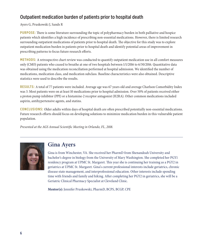#### Outpatient medication burden of patients prior to hospital death

#### Ayers G, Pruskowski J, Sands R

**PURPOSE:** There is some literature surrounding the topic of polypharmacy burden in both palliative and hospice patients which identifies a high incidence of prescribing non-essential medications. However, there is limited research surrounding outpatient medications of patients prior to hospital death. The objective for this study was to explore outpatient medication burden in patients prior to hospital death and identify potential areas of improvement in prescribing patterns to focus future research efforts.

**METHODS:** A retrospective chart review was conducted to quantify outpatient medication use in all comfort measures only (CMO) patients who ceased to breathe at one of two hospitals between 1/1/2016 to 6/30/2016. Quantitative data was obtained using the medication reconciliation performed at hospital admission. We identified the number of medications, medication class, and medication subclass. Baseline characteristics were also obtained. Descriptive statistics were used to describe the results.

**RESULTS:** A total of 77 patients were included. Average age was 67 years old and average Charlson Comorbidity Index was 3. Most patients were on at least 10 medications prior to hospital admission. Over 50% of patients received either a proton pump inhibitor (PPI) or a histamine-2 receptor antagonist (H2RA). Other common medications included aspirin, antihypertensive agents, and statins.

**CONCLUSIONS:** Older adults within days of hospital death are often prescribed potentially non-essential medications. Future research efforts should focus on developing solutions to minimize medication burden in this vulnerable patient population.

*Presented at the AGS Annual Scientific Meeting in Orlando, FL, 2018.*



### **Gina Ayers**

Gina is from Winchester, VA. She received her PharmD from Shenandoah University and bachelor's degree in biology from the University of Mary Washington. She completed her PGY1 residency program at UPMC St. Margaret. This year she is continuing her training as a PGY2 in geriatrics at UPMC St. Margaret. Gina's current professional interests include geriatrics, chronic disease state management, and interprofessional education. Other interests include spending time with friends and family and hiking. After completing her PGY2 in geriatrics, she will be a Geriatric Clinical Pharmacy Specialist at Cleveland Clinic.

**Mentor(s):** Jennifer Pruskowski, PharmD, BCPS, BCGP, CPE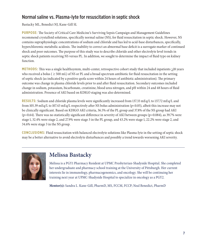#### Normal saline vs. Plasma-lyte for resuscitation in septic shock

Bastacky ML, Benedict NJ, Kane-Gill SL

**PURPOSE:** The Society of Critical Care Medicine's Surviving Sepsis Campaign and Management Guidelines recommend crystalloid solutions, specifically normal saline (NS), for fluid resuscitation in septic shock. However, NS contains supraphysiologic concentrations of sodium and chloride and has led to acid-base disturbances, specifically, hyperchloremic metabolic acidosis. The inability to correct an abnormal base deficit is a surrogate marker of continued shock and poor outcomes. The purpose of this study was to describe chloride and other electrolyte level trends in septic shock patients receiving NS versus PL. In addition, we sought to determine the impact of fluid type on kidney function.

**METHODS:** This was a single healthsystem, multi-center, retrospective cohort study that included inpatients >18 years who received a bolus ( $\geq$  500 mL) of NS or PL and a broad spectrum antibiotic for fluid resuscitation in the setting of septic shock (as indicated by a positive qsofa score within 24 hours of antibiotic administration). The primary outcome was change in plasma chloride levels prior to and after fluid resuscitation. Secondary outcomes included change in sodium, potassium, bicarbonate, creatinine, blood urea nitrogen, and pH within 24 and 48 hours of fluid administration. Presence of AKI based on KDIGO staging was also determined.

**RESULTS:** Sodium and chloride plasma levels were significantly increased from 137.33 mEq/L to 137.72 mEq/L and from 105.39 mEq/L to 107.43 mEq/L respectively after NS bolus administration (p<0.05), albeit this increase may not be clinically significant. Based on KDIGO AKI criteria, 36.5% of the PL group and 37.8% of the NS group had AKI  $(p=0.64)$ . There was no statistically significant difference in severity of AKI between groups ( $p=0.084$ ), as 39.7% were stage 1, 32.4% were stage 2, and 27.9% were stage 3 in the PL group, and 43.2% were stage 1, 22.2% were stage 2, and 34.6% were stage 3 in the NS group.

**CONCLUSIONS:** Fluid resuscitation with balanced electrolyte solutions like Plasma-lyte in the setting of septic shock may be a better alternative to avoid electrolyte disturbances and possibly a trend towards worsening AKI severity.



# **Melissa Bastacky**

Melissa is a PGY1 Pharmacy Resident at UPMC Presbyterian-Shadyside Hospital. She completed her undergraduate and pharmacy school training at the University of Pittsburgh. Her current interests lie in immunology, pharmacogenomics, and oncology. She will be continuing her training next year at UPMC-Shadyside Hospital to specialize in oncology as a PGY2.

**Mentor(s):** Sandra L. Kane-Gill, PharmD, MS, FCCM, FCCP; Neal Benedict, PharmD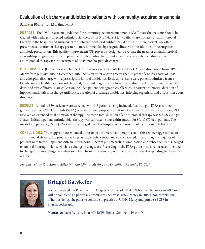#### Evaluation of discharge antibiotics in patients with community-acquired pneumonia

Batykefer BM, Wilson LM, Simonelli RJ

**PURPOSE:** The IDSA treatment guidelines for community-acquired pneumonia (CAP) state that patients should be treated with pathogen-directed antimicrobial therapy for 5 to 7 days. Many patients are initiated on antimicrobial therapy in the hospital and subsequently discharged with oral antibiotics. At our institution, patients are often prescribed a duration of therapy greater than recommended by the guidelines with the addition of the outpatient antibiotic prescription. This quality improvement (QI) project is designed to evaluate the need for an antimicrobial stewardship program focusing on pharmacist intervention to prevent an unnecessary extended duration of antimicrobial therapy for the treatment of CAP upon hospital discharge.

**METHODS:** This QI project was a retrospective chart review of patients treated for CAP and discharged from UPMC Mercy from January 2015 to December 2016. Inclusion criteria were greater than 18 years of age, diagnosis of CAP, and a hospital discharge with a prescription for oral antibiotics. Exclusion criteria were patients admitted from a long-term care facility or an outside hospital, inpatient diagnosis of a lower respiratory tract infection in the last 30 days, and cystic fibrosis. Data collection included patient demographics, allergies, inpatient antibiotics, duration of inpatient antibiotics, discharge antibiotics, duration of discharge antibiotics, infecting organism, and disposition upon discharge.

**RESULTS:** A total of 839 patients were screened, with 117 patients being included. According to IDSA treatment guideline criteria, 70/117 patients (59.8%) received an inappropriate duration of antimicrobial therapy. Of those, 99% received an extended total duration of therapy. The mean total duration of antimicrobial therapy was 8.79 days (IQR: 3 days). Initial inpatient antimicrobial therapy was ceftriaxone plus azithromycin for 90/117 (77%) of patients. The majority of patients (82/117 [70%]) were discharged from the hospital on a fluoroquinolone to complete therapy.

**CONCLUSIONS:** The inappropriate extended duration of antimicrobial therapy seen in this review suggests that an antimicrobial stewardship program with pharmacist intervention may be warranted. In addition, the majority of patients were treated inpatient with an intravenous β-lactam plus macrolide combination and subsequently discharged on an oral fluoroquinolone, which is a change in drug class. According to the IDSA guidelines, it is not recommended to change antibiotic drug class when switching from intravenous to oral therapy for a patient responding to the initial regimen.

*Presented at the 75th Annual ASHP Midyear Clinical Meeting and Exhibition, Orlando, FL, 2017.*



# **Bridget Batykefer**

Bridget received her PharmD from Duquesne University Mylan School of Pharmacy in 2017 and will be completing a pharmacy practice residency at UPMC Mercy in 2018. Upon completion of her residency, she plans to continue to practice at UPMC Mercy and pursue a BCPS in Pharmacotherapy.

**Mentor(s):** Laura Wilson, PharmD, BCPS; Robert Simonelli, PharmD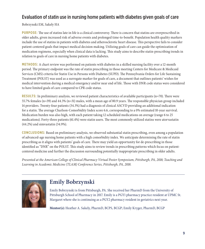#### Evaluation of statin use in nursing home patients with diabetes given goals of care

Bobrzynski EM, Sakely HA

**PURPOSE:** The use of statins late in life is a clinical controversy. There is concern that statins are overprescribed in older adults, given increased risk of adverse events and prolonged time-to-benefit. Population health quality markers include the use of statins in patients with diabetes and atherosclerotic heart disease. This perspective fails to consider patient-centered goals that impact medical decision making. Utilizing goals of care can guide the optimization of medication regimens, especially when clinical data is lacking. This study aims to describe statin-prescribing trends in relation to goals of care in nursing home patients with diabetes.

**METHODS:** A chart review was performed on patients with diabetes in a skilled nursing facility over a 12-month period. The primary endpoint was the rate of statin prescribing in those meeting Centers for Medicare & Medicaid Services (CMS) criteria for Statin Use in Persons with Diabetes (SUPD). The Pennsylvania Orders for Life Sustaining Treatment (POLST) was used as a surrogate marker for goals of care, a document that outlines patients' wishes for medical intervention during a medical emergency and/or near end of life. Those with DNR code status were considered to have limited goals of care compared to CPR code status.

**RESULTS:** In preliminary analysis, we reviewed patient characteristics of available participants (n=70). There were 55.7% females (n=39) and 44.3% (n=31) males, with a mean age of 80.9 years. The responsible physician group included 14 providers. Twenty-four patients (34.3%) had a diagnosis of clinical ASCVD providing an additional indication for a statin. The average Charlson-Comorbidity Index score 6.6, corresponding to a 0% estimated 10-year survival. Medication burden was also high, with each patient taking 12 scheduled medications on average (range 6 to 25 medications). Forty-three patients (61.4%) were statin users. The most commonly utilized statins were atorvastatin (44.2%) and simvastatin (34.9%).

**CONCLUSIONS:** Based on preliminary analysis, we observed substantial statin prescribing, even among a population of advanced-age nursing home patients with a high comorbidity index. We anticipate determining the rate of statin prescribing as it aligns with patients' goals of care. There may yield an opportunity for de-prescribing in those identified as "DNR" on the POLST. This study aims to review trends in prescribing patterns which focus on patientcentered medicine and further the discussion surrounding potentially inappropriate prescribing in older adults.

*Presented at the American College of Clinical Pharmacy Virtual Poster Symposium, Pittsburgh, PA, 2018; Teaching and Learning in Academic Medicine (TLAM) Conference Series, Pittsburgh, PA, 2018.*



# **Emily Bobrzynski**

Emily Bobrzynski is from Pittsburgh, PA. She received her PharmD from the University of Pittsburgh School of Pharmacy in 2017. Emily is a PGY1 pharmacy practice resident at UPMC St. Margaret where she is continuing as a PGY2 pharmacy resident in geriatrics next year.

**Mentor(s):** Heather A. Sakely, PharmD, BCPS, BCGP; Emily Kryger, PharmD, BCGP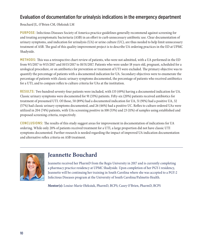#### Evaluation of documentation for urinalysis indications in the emergency department

Bouchard JL, O'Brien CM, Oleksiuk LM

**PURPOSE:** Infectious Diseases Society of America practice guidelines generally recommend against screening for and treating asymptomatic bacteriuria (ASB) in an effort to curb unnecessary antibiotic use. Clear documentation of urinary symptoms, and indication for urinalysis (UA) or urine culture (UC), are thus needed to help limit unnecessary treatment of ASB. The goal of this quality improvement project is to describe UA ordering practices in the ED at UPMC Shadyside.

**METHODS:** This was a retrospective chart review of patients, who were not admitted, with a UA performed in the ED from 9/1/2017 to 9/15/2017 and 10/15/2017 to 10/31/2017. Patients who were under 18 years old, pregnant, scheduled for a urological procedure, or on antibiotics for prevention or treatment of UTI were excluded. The primary objective was to quantify the percentage of patients with a documented indication for UA. Secondary objectives were to enumerate the percentage of patients with classic urinary symptoms documented, the percentage of patients who received antibiotics for a UTI, and to compare reflex to culture criteria for UAs at the institution.

**RESULTS:** Two hundred seventy-four patients were included, with 133 (49%) having a documented indication for UA. Classic urinary symptoms were documented for 91 (33%) patients. Fifty-six (20%) patients received antibiotics for treatment of presumed UTI. Of those, 50 (89%) had a documented indication for UA, 51 (91%) had a positive UA, 32 (57%) had classic urinary symptoms documented, and 26 (46%) had a positive UC. Reflex to culture ordered UAs were utilized in 204 (74%) patients, with UAs screening positive in 108 (53%) and 23 (11%) of samples using established and proposed screening criteria, respectively.

**CONCLUSIONS:** The results of this study suggest areas for improvement in documentation of indications for UA ordering. While only 20% of patients received treatment for a UTI, a large proportion did not have classic UTI symptoms documented. Further research is needed regarding the impact of improved UA indication documentation and alternative reflex criteria on ASB treatment.



#### **Jeannette Bouchard**

Jeannette received her PharmD from the Regis University in 2017 and is currently completing a pharmacy practice residency at UPMC Shadyside. Upon completion of her PGY-1 residency, Jeannette will be continuing her training in South Carolina where she was accepted to a PGY-2 Infectious Diseases program at the University of South Carolina/Palmetto Health.

**Mentor(s):** Louise-Marie Oleksiuk, PharmD, BCPS; Casey O'Brien, PharmD, BCPS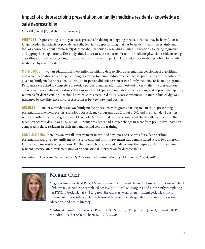#### Impact of a deprescribing presentation on family medicine residents' knowledge of safe deprescribing

Carr ML, Jarret JB, Sakely H, Pruskowski J

**PURPOSE:** Deprescribing is the systematic process of reducing or stopping medications that may be harmful or no longer needed in patients. A provider-specific barrier to deprescribing that has been identified is uncertainty and lack of knowledge about how to safely deprescribe, particularly regarding eligible medications, tapering regimens, and appropriate populations. This study aimed to create a presentation for family medicine physician residents using algorithms for safe deprescribing. The primary outcome was impact on knowledge for safe deprescribing for family medicine physician residents.

**METHODS:** This was an educational intervention in which a deprescribing presentation, consisting of algorithms and recommendations from Deprescribing.org for proton pump inhibitors, benzodiazepines, and antipsychotics, was given to family medicine residents during an in-person didactic session at two family medicine residency programs. Residents were asked to complete a pre-test, a post-test, and an additional post-test 4 weeks after the presentation. There were five case-based questions that assessed eligible patient populations, medications, and appropriate tapering regimens for deprescribing. Baseline knowledge was measured by test score correctness. Change in knowledge was measured by the difference in correct responses between pre- and post-tests.

**RESULTS:** A total of 17 residents at two family medicine residency programs participated in the deprescribing presentation. The mean pre-test score for both residency programs was 3.41 out of 5.0, and the mean day 1 post-test score for both residency programs was 4.11 out of 5.0. Three total residents completed the day 28 post-test, and the mean test score at day 28 was 3.67 out of 5.0. Senior residents had a larger change in score from pre- to day 1 post-test compared to those residents in their first and second years of training.

**CONCLUSIONS:** There was an overall improvement in pre- and day 1 post-test scores after a deprescribing presentation was given to family medicine residents, and this improvement was demonstrated across two different family medicine residency programs. Further research is warranted to determine the impact on family medicine resident practice after implementation of an educational intervention for deprescribing.

*Presented at American Geriatrics Society 2018 Annual Scientific Meeting, Orlando, FL, May 4, 2018.*



### **Megan Carr**

Megan is from Overland Park, KS, and received her PharmD from the University of Kansas School of Pharmacy in 2016. She completed her PGY1 at UPMC St. Margaret and is currently completing her PGY2 in Geriatrics at St. Margaret. She will start work as an inpatient geriatric clinical pharmacist after residency. Her professional interests include geriatric care, interprofessional education, and health literacy.

**Mentor(s):** Jennifer Pruskowski, PharmD, BCPS, BCGP, CPE; Jennie B. Jarrett, PharmD, BCPS, MMedEd; Heather Sakely, PharmD, BCPS, BCGP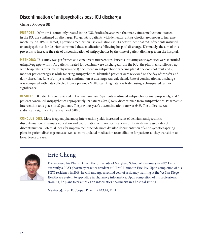#### Discontinuation of antipsychotics post-ICU discharge

#### Cheng ED, Cooper BE

**PURPOSE:** Delirium is commonly treated in the ICU. Studies have shown that many times medications started in the ICU are continued on discharge. For geriatric patients with dementia, antipsychotics are known to increase mortality. At UPMC Hamot, a previous medication use evaluation (MUE) determined that 35% of patients initiated on antipsychotics for delirium continued these medications following hospital discharge. Ultimately, the aim of this project is to increase the rate of discontinuation of antipsychotics by the time of patient discharge from the hospital.

**METHODS:** This study was performed as a concurrent intervention. Patients initiating antipsychotics were identified using *Drug Informatics.* As patients treated for delirium were discharged from the ICU, the pharmacist followed up with hospitalists or primary physician to 1) document an antipsychotic tapering plan if one does not exist and 2) monitor patient progress while tapering antipsychotics. Identified patients were reviewed on the day of transfer and daily thereafter. Rate of antipsychotic continuation at discharge was calculated. Rate of continuation at discharge was compared with data collected from a previous MUE. Resulting data was tested using a chi-squared test for significance.

**RESULTS:** 50 patients were reviewed in the final analysis. 5 patients continued antipsychotics inappropriately, and 6 patients continued antipsychotics appropriately. 39 patients (89%) were discontinued from antipsychotics. Pharmacist intervention took place for 22 patients. The previous year's discontinuation rate was 64%. The difference was statistically significant at a p-value of 0.005.

**CONCLUSIONS:** More frequent pharmacy intervention yields increased rates of delirium antipsychotic discontinuation. Pharmacy education and coordination with non-critical care units yields increased rates of discontinuation. Potential ideas for improvement include more detailed documentation of antipsychotic tapering plans in patient discharge notes as well as more updated medication reconciliation for patients as they transition to lower levels of care.



# **Eric Cheng**

Eric received his PharmD from the University of Maryland School of Pharmacy in 2017. He is currently a PGY1 pharmacy practice resident at UPMC Hamot in Erie, PA. Upon completion of his PGY1 residency in 2018, he will undergo a second year of residency training at the VA San Diego Healthcare System to specialize in pharmacy informatics. Upon completion of his professional training, he plans to practice as an informatics pharmacist in a hospital setting.

**Mentor(s):** Brad E. Cooper, PharmD, FCCM, MBA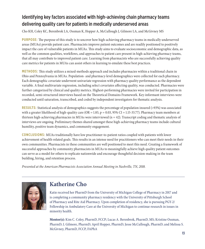#### Identifying key factors associated with high-achieving chain pharmacy teams delivering quality care for patients in medically underserved areas

Cho KH, Coley KC, Berenbrok LA, Ossman K, Hopper A, McCullough J, Gilmore LA, and McGivney MS

**PURPOSE:** The purpose of this study is to uncover how high-achieving pharmacy teams in medically underserved areas (MUAs) provide patient care. Pharmacists improve patient outcomes and are readily positioned to positively impact the care of vulnerable patients in MUAs. This study aims to evaluate socioeconomic and demographic data, as well as the common qualities, workflows, and approaches to patient care present in high-achieving pharmacy teams, that all may contribute to improved patient care. Learning from pharmacists who are successfully achieving quality care metrics for patients in MUAs can assist others in learning to emulate these best practices.

**METHODS:** This study utilizes a mixed-methods approach and includes pharmacies within a traditional chain in Ohio and Pennsylvania in MUAs. Population- and pharmacy-level demographics were collected for each pharmacy. Each demographic covariate underwent univariate regression with pharmacy quality performance as the dependent variable. A final multivariate regression, including select covariates affecting quality, was conducted. Pharmacies were further categorized by clinical and quality metrics. Highest-performing pharmacies were invited for participation in recorded, semi-structured interviews based on the Theoretical Domains Framework. Key-informant interviews were conducted until saturation, transcribed, and coded by independent investigators for thematic analysis.

**RESULTS:** Statistical analysis of demographics suggests the percentage of population insured (>93%) was associated with a greater likelihood of high-quality care (OR = 1.83,  $p = 0.03$ , 95% CI = 1.15-33.77). Pharmacy team members at thirteen high-achieving pharmacies in MUAs were interviewed  $(n = 42)$ . Transcript coding and thematic analysis of interviews are ongoing. Preliminary themes shared amongst these high-achieving pharmacy teams include cultural humility, positive team dynamics, and community engagement.

**CONCLUSIONS:** MUAs traditionally have low practitioner-to-patient ratios coupled with patients with lower achievement of health-related goals. This results in an intense need for practitioners who can meet their needs in their own communities. Pharmacists in these communities are well positioned to meet this need. Creating a framework of successful approaches by community pharmacists in MUAs to meaningfully achieve high quality patient outcomes can serve as a model for others to replicate nationwide and encourage thoughtful decision-making in the team building, hiring, and retention process.

*Presented at the American Pharmacists Association Annual Meeting in Nashville, TN, 2018.*



# **Katherine Cho**

Katie received her PharmD from the University of Michigan College of Pharmacy in 2017 and is completing a community pharmacy residency with the University of Pittsburgh School of Pharmacy and Rite Aid Pharmacy. Upon completion of residency, she is pursuing PGY-2/ Fellowship in Ambulatory Care at the University of Michigan to continue research in issues in minority health.

**Mentor(s):** Kim C. Coley, PharmD, FCCP; Lucas A. Berenbrok, PharmD, MS; Kristine Ossman, PharmD; L Gilmore, PharmD; April Hopper, PharmD; Jesse McCullough, PharmD; and Melissa S. McGivney, PharmD, FCCP, FAPhA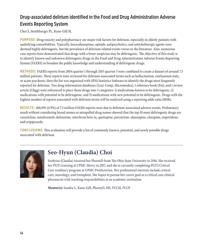#### Drug-associated delirium identified in the Food and Drug Administration Adverse Events Reporting System

Choi S, Smithburger PL, Kane-Gill SL

**PURPOSE:** Drug toxicity and polypharmacy are major risk factors for delirium, especially in elderly patients with underlying comorbidities. Typically, benzodiazepines, opioids, antipsychotics, and anticholinergic agents were deemed highly deliriogenic, but the prevalence of delirium-related events varies in the literature. Also, numerous case reports have demonstrated that drugs with a lower suspicion may be deliriogenic. The objective of this study is to identify known and unknown deliriogenic drugs in the Food and Drug Administration Adverse Events Reporting System (FAERS) to broaden the public knowledge and understanding of deliriogenic drugs.

**METHODS:** FAERS reports from 2004 quarter 1 through 2015 quarter 3 were combined to create a dataset of around 7.3 million patients. These reports were reviewed for delirium-associated terms such as hallucination, confusional state, or acute psychosis, then the list was organized with SPSS Statistics Software to identify the drugs most frequently reported for delirium. Two drug information databases (Lexi-Comp, Micromedex), 1 reference book (Pai), and 1 review article (Clegg) were referenced to place those drugs into 3 categories: 1) medications known to be deliriogenic, 2) medications with potential to be deliriogenic, and 3) medications with new potential to be deliriogenic. Drugs with the highest number of reports associated with delirium terms will be analyzed using a reporting odds ratio (ROR).

**RESULTS:** 360,995 (4.9%) of 7.3 million FAERS reports were due to delirium-associated adverse events. Preliminary result without considering brand names or misspelled drug names showed that the top 10 most deliriogenic drugs are varenicline, natalizumab, duloxetine, interferon beta-1a, quetiapine, paroxetine, olanzapine, clozapine, risperidone, and aripiprazole.

**CONCLUSIONS:** This evaluation will provide a list of commonly known, potential, and newly possible drugs associated with delirium.



# **Seo-Hyun (Claudia) Choi**

Seohyun (Claudia) received her PharmD from The Ohio State University in 2016. She received her PGY1 training at UPMC Mercy in 2017, and she is currently completing PGY2 Critical Care residency program at UPMC Presbyterian. Her professional interests include critical care, neurology, and transplant. She hopes to pursue her career goal as a critical care clinical pharmacist with teaching responsibilities at an academic institution.

**Mentor(s):** Sandra L. Kane-Gill, PharmD, MS, FCCM, FCCP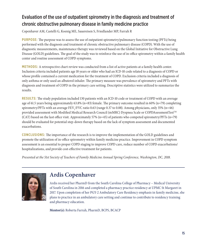#### Evaluation of the use of outpatient spirometry in the diagnosis and treatment of chronic obstructive pulmonary disease in family medicine practice

Copenhaver AM, Castelli G, Koenig ME, Sauereisen S, Friedlander MP, Farrah R

**PURPOSE:** The purpose was to assess the use of outpatient spirometry/pulmonary function testing (PFTs) being performed with the diagnosis and treatment of chronic obstructive pulmonary disease (COPD). With the use of diagnostic measurements, maintenance therapy was reviewed based on the Global Initiative for Obstructive Lung Disease (GOLD) guidelines. The goal of the study was to reinforce the use of in-office spirometry within a family health center and routine assessment of COPD symptoms.

**METHODS:** A retrospective chart review was conducted from a list of active patients at a family health center. Inclusion criteria included patients age 18 years or older who had an ICD-10 code related to a diagnosis of COPD or whose profile contained a current medication for the treatment of COPD. Exclusion criteria included a diagnosis of only asthma or only used an albuterol inhaler. The primary measure was prevalence of spirometry and PFTs with diagnosis and treatment of COPD in the primary care setting. Descriptive statistics were utilized to summarize the results.

**RESULTS:** The study population included 130 patients with an ICD-10 code or treatment of COPD with an average age of 61.5 years being approximately 63.8% (n=83) female. The primary outcome resulted in 60% (n=79) completing spirometry/PFTs with an average  $\rm{FEV}{_1}/\rm{FVC}$  ratio 0.63 (range 0.37 to 0.88). Among physicians, only 35% (n=46) provided assessment with Modified Medical Research Council (mMRC) Dyspnea Scale or COPDAsessmentTest™ (CAT) based on the last office visit. Approximately 57% (n=45) of patients who competed spirometry/PFTs (n=79) should be evaluated for potential step-down therapy based on the lack of symptom assessment and documented exacerbations.

**CONCLUSIONS:** The importance of the research is to improve the implementation of the GOLD guidelines and promote the utilization of in-office spirometry within family medicine practice. Improvement in COPD symptom assessment is an essential to proper COPD staging to improve COPD care, reduce number of COPD exacerbations/ hospitalizations, and provide cost-effective treatment for patients.

*Presented at the 51st Society of Teachers of Family Medicine Annual Spring Conference, Washington, DC, 2018.* 



### **Ardis Copenhaver**

Ardis received her PharmD from the South Carolina College of Pharmacy – Medical University of South Carolina in 2016 and completed a pharmacy practice residency at UPMC St Margaret in 2017. Upon completion of her PGY-2 Ambulatory Care Residency emphasis in family medicine, she plans to practice in an ambulatory care setting and continue to contribute to residency training and pharmacy education.

**Mentor(s):** Roberta Farrah, PharmD, BCPS, BCACP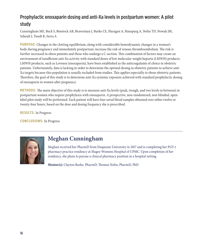#### Prophylactic enoxaparin dosing and anti-Xa levels in postpartum women: A pilot study

Cunningham ME, Beck S, Binstock AB, Braverman J, Burke CE, Haragan A, Hauspurg A, Nolin TD, Nowak JM, Seheult J, Twedt R, Serra A

**PURPOSE:** Changes to the clotting equilibrium, along with considerable hemodynamic changes in a woman's body during pregnancy and immediately postpartum, increase the risk of venous thromboembolism. The risk is further increased in obese patients and those who undergo a C-section. This combination of factors may create an environment of insufficient anti-Xa activity with standard doses of low molecular weight heparin (LMWH) products. LMWH products, such as Lovenox (enoxaparin), have been established as the anticoagulants of choice in obstetric patients. Unfortunately, data is lacking in order to determine the optimal dosing in obstetric patients to achieve anti-Xa targets because this population is usually excluded from studies. This applies especially to obese obstetric patients. Therefore, the goal of this study is to determine anti-Xa systemic exposure achieved with standard prophylactic dosing of enoxaparin in women after pregnancy.

**METHODS:** The main objective of this study is to measure anti-Xa levels (peak, trough, and two levels in between) in postpartum women who require prophylaxis with enoxaparin. A prospective, non-randomized, non-blinded, openlabel pilot study will be performed. Each patient will have four serial blood samples obtained over either twelve or twenty-four hours, based on the dose and dosing frequency she is prescribed.

**RESULTS:** In Progress

**CONCLUSIONS:** In Progress



### **Meghan Cunningham**

Meghan received her PharmD from Duquesne University in 2017 and is completing her PGY-1 pharmacy practice residency at Magee-Womens Hospital of UPMC. Upon completion of her residency, she plans to pursue a clinical pharmacy position in a hospital setting.

**Mentor(s):** Clayton Burke, PharmD; Thomas Nolin, PharmD, PhD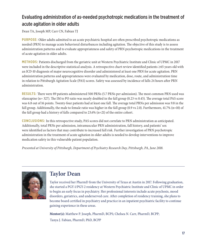#### Evaluating administration of as-needed psychotropic medications in the treatment of acute agitation in older adults

Dean TA, Joseph MP, Carr CN, Fabian TJ

**PURPOSE:** Older adults admitted to an acute psychiatric hospital are often prescribed psychotropic medications as needed (PRN) to manage acute behavioral disturbances including agitation. The objective of this study is to assess administration patterns and to evaluate appropriateness and safety of PRN psychotropic medications in the treatment of acute agitation in older adults.

**METHODS:** Patients discharged from the geriatric unit at Western Psychiatric Institute and Clinic of UPMC in 2017 were included in the descriptive statistical analysis. A retrospective chart review identified patients ≥65 years old with an ICD-10 diagnosis of major neurocognitive disorder and administered at least one PRN for acute agitation. PRN administration patterns and appropriateness were evaluated by medication, dose, route, and administration time in relation to Pittsburgh Agitation Scale (PAS) scores. Safety was assessed by incidence of falls 24 hours after PRN administration.

**RESULTS:** There were 89 patients administered 500 PRNs (5.7 PRNs per admission). The most common PRN used was olanzapine (n= 327). The IM to PO ratio was nearly doubled in the fall group (0.23 vs 0.45). The average total PAS score was 6.8 out of 16 points. Twenty-four patients had at least one fall. The average total PRNs per admission was 9.8 in the fall group. Additionally, the male to female ratio was higher in the fall group (0.9 vs 2.0). Furthermore, 41.7% (n=10) of the fall group had a history of falls compared to 23.6% (n=21) of the entire cohort.

**CONCLUSIONS:** In this retrospective study, PAS scores did not correlate to PRN administration as anticipated. Additionally, total PRNs per admission, intramuscular PRN administration, fall history, and patients' sex were identified as factors that may contribute to increased fall risk. Further investigation of PRN psychotropic administration in the treatment of acute agitation in older adults is needed to develop interventions to improve medication safety in this vulnerable patient population.

*Presented at University of Pittsburgh, Department of Psychiatry Research Day, Pittsburgh, PA, June 2018.* 



#### **Taylor Dean**

Taylor received her PharmD from the University of Texas at Austin in 2017. Following graduation, she started a PGY-1/PGY-2 residency at Western Psychiatric Institute and Clinic of UPMC in order to begin an early focus in psychiatry. Her professional interests include acute psychosis, mood disorders, geriatrics, and underserved care. After completion of residency training, she plans to become board certified in psychiatry and practice in an inpatient psychiatric facility to continue gaining experience in these areas.

**Mentor(s):** Matthew P. Joseph, PharmD, BCPS; Chelsea N. Carr, PharmD, BCPP; Tanya J. Fabian, PharmD, PhD, BCPP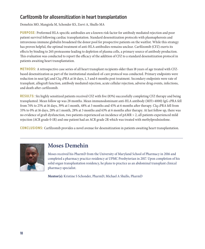#### Carfilzomib for allosensitization in heart transplantation

Demehin MO, Mangiola M, Schonder KS, Zeevi A, Shullo MA

**PURPOSE:** Preformed HLA-specific antibodies are a known risk factor for antibody mediated rejection and poor patient survival following cardiac transplantation. Standard desensitization protocols with plasmapheresis and intravenous immune globulin broadened the donor pool for prospective patients on the waitlist. While this strategy has proven helpful, the optimal treatment of anti-HLA antibodies remains unclear. Carfilzomib (CFZ) exerts its effects by binding to 26S proteasome leading to depletion of plasma cells, a primary source of antibody production. This evaluation was conducted to report the efficacy of the addition of CFZ to a standard desensitization protocol in patients awaiting heart transplantation.

**METHODS:** A retrospective case series of all heart transplant recipients older than 18 years of age treated with CFZbased desensitization as part of the institutional standard-of-care protocol was conducted. Primary endpoints were reduction in neat IgG and C1q cPRA at 16 days, 1, 3 and 6 months post treatment. Secondary endpoints were rate of transplant, allograft function, antibody mediated rejection, acute cellular rejection, adverse drug events, infections, and death after carfilzomib.

**RESULTS:** Six highly sensitized patients received CFZ with five (83%) successfully completing CFZ therapy and being transplanted. Mean follow up was 28 months. Mean immunodominant anti-HLA antibody (MFI>4000) IgG cPRA fell from 74% to 25% at 16 days, 39% at 1 month, 48% at 3 months and 45% at 6 months after therapy. C1q cPRA fell from 33% to 0% at 16 days, 28% at 1 month, 28% at 3 months and 63% at 6 months after therapy. At last follow up, there was no evidence of graft dysfunction, two patients experienced an incidence of pAMR > 2, all patients experienced mild rejection (ACR grade 0-1R) and one patient had an ACR grade 2R which was treated with methylprednisolone.

**CONCLUSIONS:** Carfilzomib provides a novel avenue for desensitization in patients awaiting heart transplantation.



### **Moses Demehin**

Moses received his PharmD from the University of Maryland School of Pharmacy in 2016 and completed a pharmacy practice residency at UPMC Presbyterian in 2017. Upon completion of his solid organ transplantation residency, he plans to practice as an abdominal transplant clinical pharmacy specialist.

**Mentor(s):** Kristine S Schonder, PharmD; Michael A Shullo, PharmD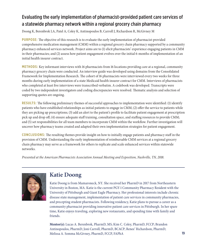#### Evaluating the early implementation of pharmacist-provided patient care services of a statewide pharmacy network within a regional grocery chain pharmacy

Doong K, Berenbrok LA, Patel A, Coley K, Antinopoulos B, Carroll J, Richardson R, McGivney M

**PURPOSE:** The objective of this research is to evaluate the early implementation of pharmacist-provided comprehensive medication management (CMM) within a regional grocery chain pharmacy supported by a community pharmacy enhanced services network. Project aims are to (1) elicit pharmacists' experience engaging patients in CMM in their pharmacies; and (2) assess how patient engagement evolves over the initial 6-months of implementation of an initial health insurer contract.

**METHODS:** Key informant interviews with 16 pharmacists from 16 locations providing care at a regional, community pharmacy grocery chain were conducted. An interview guide was developed using domains from the Consolidated Framework for Implementation Research. The cohort of 16 pharmacists were interviewed every two weeks for three months during early implementation of a state Medicaid health insurer contract for CMM. Interviews of pharmacists who completed at least five interviews were transcribed verbatim. A codebook was developed. Transcripts were coded by two independent investigators and coding discrepancies were resolved. Thematic analysis and selection of supporting quotes are ongoing.

**RESULTS:** The following preliminary themes of successful approaches to implementation were identified: (1) identify patients who have established relationships as initial patients to engage in CMM; (2) offer the service to patients while they are picking up prescriptions; (3) add an alert to the patient's profile to facilitate patient engagement at prescription pick up and drop off; (4) ensure adequate staff training, consultation space, and staffing resources to provide CMM; and (5) set responsibilities for all team members to incorporate CMM within the workflow. Further investigation will uncover how pharmacy teams created and adapted their own implementation strategies for patient engagement.

**CONCLUSIONS:** The resulting themes provide insight on how to initially engage patients and pharmacy staff in the provision of CMM. Understanding the early implementation of reimbursable CMM services at a regional grocery chain pharmacy may serve as a framework for others to replicate and scale enhanced services within statewide networks.

*Presented at the American Pharmacists Association Annual Meeting and Exposition, Nashville, TN, 2018.*



### **Katie Doong**

Katie Doong is from Mamaroneck, NY. She received her PharmD in 2017 from Northeastern University in Boston, MA. Katie is the current PGY-1 Community Pharmacy Resident with the University of Pittsburgh and Giant Eagle Pharmacy. Her professional interests include chronic disease state management, implementation of patient care services in community pharmacies, and precepting student pharmacists. Following residency, Katie plans to pursue a career as a community pharmacist providing innovative patient care services in Pittsburgh. In her spare time, Katie enjoys traveling, exploring new restaurants, and spending time with family and friends.

**Mentor(s):** Lucas A. Berenbrok, PharmD, MS; Kim C. Coley, PharmD, FCCP; Brandon Antinopoulos, PharmD; Joni Carroll, PharmD, BCACP; Renee' Richardson, PharmD; Melissa A. Somma McGivney, PharmD, FCCP, FAPhA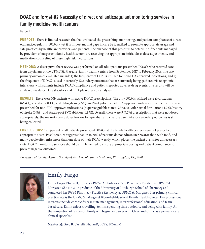#### DOAC and forget-it? Necessity of direct oral anticoagulant monitoring services in family medicine health centers

Fargo EL

**PURPOSE:** There is limited research that has evaluated the prescribing, monitoring, and patient compliance of direct oral anticoagulants (DOACs), yet it is important that gaps in care be identified to promote appropriate usage and safe practices by healthcare providers and patients. The purpose of this project is to determine if patients managed by providers of outpatient family health centers are receiving the appropriate initial dose, dose adjustments, and medication counseling of these high risk medications.

**METHODS:** A descriptive chart review was performed on all adult patients prescribed DOACs who received care from physicians of the UPMC St. Margaret family health centers from September 2017 to February 2018. The two primary outcomes evaluated include 1) the frequency of DOACs utilized for non-FDA approved indications, and 2) the frequency of DOACs dosed incorrectly. Secondary outcomes that are currently being gathered via telephonic interviews with patients include DOAC compliance and patient-reported adverse drug events. The results will be analyzed via descriptive statistics and multiple regression analyses.

**RESULTS:** There were 109 patients with active DOAC prescriptions. The only DOACs utilized were rivaroxaban (66.4%), apixaban (31.1%), and dabigatran (2.5%). 74.8% of patients had FDA-approved indications, while the rest were prescribed for non-FDA-approved indications (hypercoagulable state (19.3%), valvular atrial fibrillation (4.2%), history of stroke (0.8%), and status-post PVC ablation (0.8%)). Overall, there were 9 (7.5%) prescriptions that were not dosed appropriately, the majority being doses too low for apixaban and rivaroxaban. Data for secondary outcomes is still being collected.

**CONCLUSIONS:** Ten percent of all patients prescribed DOACs at the family health centers were not prescribed appropriate doses. Past literature suggests that up to 20% of patients do not administer rivaroxaban with food, and many people often miss more than one dose of their DOAC weekly, which places the patient at risk for unnecessary clots. DOAC monitoring services should be implemented to ensure appropriate dosing and patient compliance to prevent negative outcomes.

*Presented at the 51st Annual Society of Teachers of Family Medicine, Washington, DC, 2018.* 



### **Emily Fargo**

Emily Fargo, PharmD, BCPS is a PGY-2 Ambulatory Care Pharmacy Resident at UPMC St. Margaret. She is a 2016 graduate of the University of Pittsburgh School of Pharmacy and completed her PGY-1 Pharmacy Practice Residency at UPMC St. Margaret. Her primary clinical practice site is the UPMC St. Margaret Bloomfield-Garfield Family Health Center. Her professional interests include chronic disease state management, interprofessional education, and teambased care. Emily enjoys travelling, tennis, spending time outdoors, and being with family. At the completion of residency, Emily will begin her career with Cleveland Clinic as a primary care clinical specialist.

**Mentor(s):** Greg B. Castelli, PharmD, BCPS, BC-ADM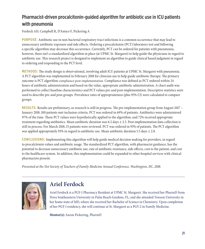#### Pharmacist-driven procalcitonin-guided algorithm for antibiotic use in ICU patients with pneumonia

Ferdock AD, Campbell R, D'Amico F, Pickering A

**PURPOSE:** Antibiotic use in non-bacterial respiratory tract infections is a common occurrence that may lead to unnecessary antibiotic exposure and side effects. Ordering a procalcitonin (PCT) laboratory test and following a specific algorithm may decrease this occurrence. Currently, PCT can be ordered for patients with pneumonia; however, there isn't a standardized algorithm in place (at UPMC St. Margaret) to help guide the physicians in regard to antibiotic use. This research project is designed to implement an algorithm to guide clinical based judgment in regard to ordering and responding to the PCT level.

**METHODS:** The study design is observational, involving adult ICU patients at UPMC St. Margaret with pneumonia. A PCT algorithm was implemented in February 2018 for clinician use to help guide antibiotic therapy. The primary outcome is PCT algorithm compliance post-implementation. Compliance was defined as PCT ordered within 24 hours of antibiotic administration and based on the value, appropriate antibiotic administration. A chart audit was performed to collect baseline characteristics and PCT values pre-and post-implementation. Descriptive statistics were used to describe pre-and post-groups. Prevalence rates of appropriateness (plus 95% CI) were calculated to compare groups.

**RESULTS:** Results are preliminary, as research is still in progress. The pre-implementation group from August 2017 – January 2018, 100 patients met inclusion criteria. PCT was ordered in 69% of patients. Antibiotics were administered 97% of the time. These PCT values were hypothetically applied to the algorithm, and 72% received appropriate treatment regarding antibiotics. Mean antibiotic duration was 6.2 days ± 2.5. Post-implementation data collection is still in process. For March 2018, 15 patients were reviewed. PCT was ordered in 93% of patients. The PCT algorithm was applied appropriately 93% in regard to antibiotic use. Mean antibiotic duration 5.5 days  $\pm$  2.8.

**CONCLUSIONS:** Implementing this algorithm will help guide medical decision making for providers, in regard to procalcitonin values and antibiotic usage. The standardized PCT algorithm, with pharmacist guidance, has the potential to decrease unnecessary antibiotic use, rate of antibiotic resistance, side effects, cost to the patient, and cost to the healthcare system. In addition, this implementation could be expanded to other hospital services with clinical pharmacists present.

*Presented at the 51st Society of Teachers of Family Medicine Annual Conference, Washington, DC, 2018.* 



# **Ariel Ferdock**

Ariel Ferdock is a PGY-1 Pharmacy Resident at UPMC St. Margaret. She received her PharmD from Nova Southeastern University in Palm Beach Gardens, FL; and she attended Towson University in her home state of MD, where she received her Bachelor of Science in Chemistry. Upon completion of her PGY-1 residency, she will continue at St. Margaret as a PGY-2 in Family Medicine.

**Mentor(s):** Aaron Pickering, PharmD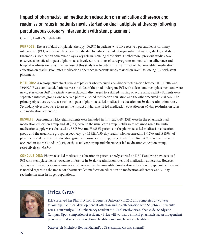#### Impact of pharmacist-led medication education on medication adherence and readmission rates in patients newly started on dual-antiplatelet therapy following percutaneous coronary intervention with stent placement

Gray EL, Kostka S, Hebda MF

**PURPOSE:** The use of dual antiplatelet therapy (DAPT) in patients who have received percutaneous coronary intervention (PCI) with stent placement is indicated to reduce the risk of myocardial infarction, stroke, and stent thrombosis. Medication adherence plays a key role in reducing these risks. Furthermore, previous studies have observed a beneficial impact of pharmacist-involved transitions of care programs on medication adherence and hospital readmission rates. The purpose of this study was to determine the impact of pharmacist-led medication education on readmission rates medication adherence in patients newly started on DAPT following PCI with stent placement.

**METHODS:** A retrospective chart review of patients who received a cardiac catheterization between 05/01/2017 and 12/01/2017 was conducted. Patients were included if they had undergone PCI with at least one stent placement and were newly started on DAPT. Patients were excluded if discharged to a skilled nursing or acute rehab facility. Patients were separated into two groups, one received pharmacist-led medication education and the other received usual care. The primary objectives were to assess the impact of pharmacist-led medication education on 30-day readmission rates. Secondary objectives were to assess the impact of pharmacist-led medication education on 90-day readmission rates and medication adherence.

**RESULTS:** One-hundred fifty-eight patients were included in this study, 68 (43%) were in the pharmacist-led medication education group and 90 (57%) were in the usual care group. Refills were obtained when the initial medication supply was exhausted by 56 (88%) and 75 (88%) patients in the pharmacist-led medication education group and the usual care group, respectively ( $p=0.892$ ). A 30-day readmission occurred in 8 (12%) and 18 (19%) of pharmacist-led medication education group and usual care group, respectively (p=0.167). A 90-day readmission occurred in 16 (25%) and 22 (24%) of the usual care group and pharmacist-led medication education group, respectively (p=0.894).

**CONCLUSIONS:** Pharmacist-led medication education in patients newly started on DAPT and who have received PCI with stent placement showed no difference in 30-day readmission rates and medication adherence. However, 30-day readmission rate were numerically lower in the pharmacist-led medication education group. Further research is needed regarding the impact of pharmacist-led medication education on medication adherence and 30-day readmission rates in larger populations.



# **Erica Gray**

Erica received her PharmD from Duquesne University in 2015 and completed a two-year fellowship in clinical development at Allergan and in collaboration with St. John's University. Erica is currently a PGY-1 pharmacy resident at UPMC Presbyterian-Shadyside: Shadyside Campus. Upon completion of residency Erica will work as a clinical pharmacist at an independent pharmacy that services correctional facilities and long term care facilities.

**Mentor(s):** Michele F Hebda, PharmD, BCPS; Shayna Kostka, PharmD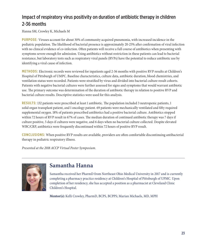#### Impact of respiratory virus positivity on duration of antibiotic therapy in children 2-36 months

Hanna SM, Crowley K, Michaels M

**PURPOSE:** Viruses account for about 30% of community acquired pneumonia, with increased incidence in the pediatric population. The likelihood of bacterial presence is approximately 20-25% after confirmation of viral infection with no clinical evidence of co-infection. Often patients will receive a full course of antibiotics when presenting with symptoms severe enough for admission. Using antibiotics without restriction in these patients can lead to bacterial resistance, but laboratory tests such as respiratory viral panels (RVPs) have the potential to reduce antibiotic use by identifying a viral cause of infection.

**METHODS:** Electronic records were reviewed for inpatients aged 2-36 months with positive RVP results at Children's Hospital of Pittsburgh of UMPC. Baseline characteristics, culture data, antibiotic duration, blood chemistries, and ventilation status were recorded. Patients were stratified by virus and divided into bacterial culture result cohorts. Patients with negative bacterial cultures were further assessed for signs and symptoms that would warrant antibiotic use. The primary outcome was determination of the duration of antibiotic therapy in relation to positive RVP and bacterial culture results. Descriptive statistics were used for this analysis.

**RESULTS:** 132 patients were prescribed at least 1 antibiotic. The population included 3 neutropenic patients, 1 solid organ transplant patient, and 1 oncology patient. 69 patients were mechanically ventilated and fifty required supplemental oxygen. 18% of patients prescribed antibiotics had a positive bacterial culture. Antibiotics stopped within 72 hours of RVP result in 67% of cases. The median duration of continued antibiotic therapy was 7 days if culture positive, 5 days if cultures were negative, and 6 days when no bacterial culture collected. Despite elevated WBC/CRP, antibiotics were frequently discontinued within 72 hours of positive RVP result.

**CONCLUSIONS:** When positive RVP results are available, providers are often comfortable discontinuing antibacterial therapy in pediatric respiratory illness.

*Presented at the 2018 ACCP Virtual Poster Symposium.*



#### **Samantha Hanna**

Samantha received her PharmD from Northeast Ohio Medical University in 2017 and is currently completing a pharmacy practice residency at Children's Hospital of Pittsburgh of UPMC. Upon completion of her residency, she has accepted a position as a pharmacist at Cleveland Clinic Children's Hospital.

**Mentor(s):** Kelli Crowley, PharmD, BCPS, BCPPS; Marian Michaels, MD, MPH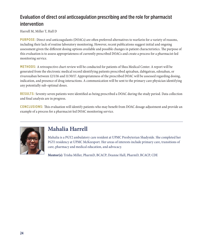#### Evaluation of direct oral anticoagulation prescribing and the role for pharmacist intervention

Harrell M, Miller T, Hall D

**PURPOSE:** Direct oral anticoagulants (DOACs) are often preferred alternatives to warfarin for a variety of reasons, including their lack of routine laboratory monitoring. However, recent publications suggest initial and ongoing assessment given the different dosing options available and possible changes in patient characteristics. The purpose of this evaluation is to assess appropriateness of currently prescribed DOACs and create a process for a pharmacist-led monitoring service.

**METHODS:** A retrospective chart review will be conducted for patients of Shea Medical Center. A report will be generated from the electronic medical record identifying patients prescribed apixaban, dabigatran, edoxaban, or rivaroxaban between 12/1/16 and 11/30/17. Appropriateness of the prescribed DOAC will be assessed regarding dosing, indication, and presence of drug interactions. A communication will be sent to the primary care physician identifying any potentially sub-optimal doses.

**RESULTS:** Seventy-seven patients were identified as being prescribed a DOAC during the study period. Data collection and final analysis are in progress.

**CONCLUSIONS:** This evaluation will identify patients who may benefit from DOAC dosage adjustment and provide an example of a process for a pharmacist-led DOAC monitoring service.



# **Mahalia Harrell**

Mahalia is a PGY2 ambulatory care resident at UPMC Presbyterian Shadyside. She completed her PGY1 residency at UPMC McKeesport. Her areas of interests include primary care, transitions of care, pharmacy and medical education, and advocacy.

**Mentor(s):** Trisha Miller, PharmD, BCACP; Deanne Hall, PharmD, BCACP, CDE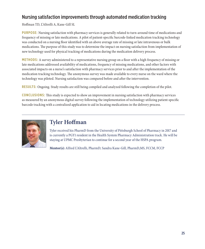#### Nursing satisfaction improvements through automated medication tracking

Hoffman TD, L'Altrelli A, Kane-Gill SL

**PURPOSE:** Nursing satisfaction with pharmacy services is generally related to turn-around time of medications and frequency of missing or late medications. A pilot of patient-specific barcode-linked medication tracking technology was conducted on a nursing floor identified with an above average rate of missing or late intravenous or bulk medications. The purpose of this study was to determine the impact on nursing satisfaction from implementation of new technology used for physical tracking of medications during the medication delivery process.

**METHODS:** A survey administered to a representative nursing group on a floor with a high frequency of missing or late medications addressed availability of medications, frequency of missing medications, and other factors with associated impacts on a nurse's satisfaction with pharmacy services prior to and after the implementation of the medication tracking technology. The anonymous survey was made available to every nurse on the ward where the technology was piloted. Nursing satisfaction was compared before and after the intervention.

**RESULTS:** Ongoing. Study results are still being compiled and analyzed following the completion of the pilot.

**CONCLUSIONS:** This study is expected to show an improvement in nursing satisfaction with pharmacy services as measured by an anonymous digital survey following the implementation of technology utilizing patient-specific barcode tracking with a centralized application to aid in locating medications in the delivery process.



#### **Tyler Hoffman**

Tyler received his PharmD from the University of Pittsburgh School of Pharmacy in 2017 and is currently a PGY1 resident in the Health System Pharmacy Administration track. He will be staying at UPMC Presbyterian to continue for a second year of the HSPA program.

**Mentor(s):** Alfred L'Altrelli, PharmD; Sandra Kane-Gill, PharmD,MS, FCCM, FCCP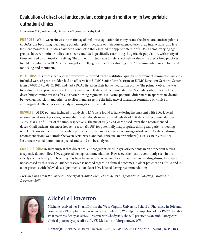#### Evaluation of direct oral anticoagulant dosing and monitoring in two geriatric outpatient clinics

Howerton MA, Suhrie EM, Gennari AS, Jones N, Ruby CM

**PURPOSE:** While warfarin was the mainstay of oral anticoagulation for many years, the direct oral anticoagulants (DOACs) are becoming much more popular options because of their convenience, fewer drug interactions, and less frequent monitoring. Studies have been conducted that assessed the appropriate use of DOACs across varying age groups, however limited studies have been conducted specifically examining the geriatric population, with many of those focused on an inpatient setting. The aim of this study was to retrospectively evaluate the prescribing practices for elderly patients on DOACs in an outpatient setting, specifically evaluating if FDA recommendations are followed for dosing and monitoring.

**METHODS:** This retrospective chart review was approved by the institution quality improvement committee. Subjects included were 65 years or older, had an office visit at UPMC Senior Care Institute or UPMC Benedum Geriatric Center from 09/01/2015 to 08/31/2017, and had a DOAC listed on their home medication profile. The primary objective was to evaluate the appropriateness of dosing based on FDA-labeled recommendations. Secondary objectives included describing common reasons for alternative dosing regimens, evaluating potential differences in appropriate dosing between geriatricians and other prescribers, and assessing the influence of insurance formulary on choice of anticoagulant. Objectives were analyzed using descriptive statistics.

**RESULTS:** Of 232 patients included in analysis, 42.7% were found to have dosing inconsistent with FDA-labeled recommendations. Apixaban, rivaroxaban, and dabigatran were dosed outside of FDA-labeled recommendations 47.3%, 35.8%, and 31.6% of the time, respectively. The majority (72.7%) were dosed lower than recommended doses. Of all patients, the most frequent reason (54.5%) for potentially inappropriate dosing was patients meeting only 1 of 3 dose-reduction criteria when prescribed apixaban. Occurrence of dosing outside of FDA-labeled dosing recommendations was similar between geriatrician and non-geriatrician prescribers (44.0% vs 40.8%, p=0.62). Insurances varied more than expected and could not be analyzed.

**CONCLUSIONS:** Results suggest that direct oral anticoagulants used in geriatric patients in an outpatient setting frequently do not follow FDA-approved dosing recommendations. However, other factors commonly seen in the elderly such as frailty and bleeding may have been factors considered by clinicians when deciding dosing that were not assessed by this review. Further research is needed regarding clinical outcomes in older patients on DOACs and in older patients with DOAC dose adjustments outside of FDA-labeled dosing recommendations.

*Presented in-part at the American Society of Health-System Pharmacists Midyear Clinical Meeting, Orlando, FL, December 2017.*



#### **Michelle Howerton**

Michelle received her PharmD from the West Virginia University School of Pharmacy in 2016 and completed a PGY1 pharmacy residency in Charleston, WV. Upon completion of her PGY2 Geriatric Pharmacy residency at UPMC Presbyterian-Shadyside, she will practice as an ambulatory care clinical pharmacy specialist at WVU Medicine in Morgantown, WV.

**Mentor(s):** Christine M. Ruby, PharmD, BCPS, BCGP, FASCP; Erin Suhrie, PharmD, BCPS, BCGP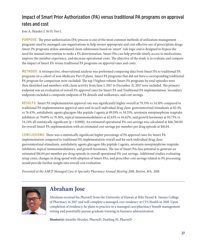#### Impact of Smart Prior Authorization (PA) versus traditional PA programs on approval rates and cost

Jose A, Heasley J, Ni D, Yoo L

**PURPOSE:** The prior authorization (PA) process is one of the most common methods of utilization management programs used by managed care organizations to help ensure appropriate and cost-effective use of prescription drugs. Smart PA programs utilize automated claim submission based on 'smart' rule logic and is designed to bypass the need for manual intervention to make a PA determination. Smart PAs can help provide timely access to medications, improve the member experience, and decrease operational costs. The objective of the study is to evaluate and compare the impact of Smart PA versus traditional PA programs on approval rates and costs.

**METHODS:** A retrospective, observational analysis was performed comparing data from Smart PA to traditional PA programs on a cohort of non-Medicare Part D plans. Smart PA programs that did not have a corresponding traditional PA program for comparison were excluded. The top 5 highest volume Smart PA programs by total episodes were then identified and members with claim activity from June 1, 2017 to December 31, 2017 were included. The primary endpoint was an evaluation of overall PA approval rates for Smart PA and Traditional PA implementation. Secondary endpoints included a composite endpoint of PA denials and walkaways, and cost savings.

**RESULTS:** Smart PA implementation approval rate was significantly higher overall at 79.33% vs 54.10% compared to traditional PA implementation approval rates and in each individual drug class: gastrointestinal stimulants at 82.4% vs 76.43%, antidiabetic agents glucagon-like peptide-1 agents at 89.19% vs 58.55%, serotonin norepinephrine reuptake inhibitors at 79.69% vs 70.36%, topical immunomodulators at 62.63% vs 44.62%, and growth hormones at 93.73% vs 54.24% all statistically significant (p < 0.0001). An estimated operational PA cost savings was calculated at \$66,760.00 for overall Smart PA implementation with an estimated cost savings per member per drug episode at \$16.04.

**CONCLUSIONS:** There was a statistically significant higher percentage of PA approval rates for Smart PA implementation compared to traditional PA implementation overall and for each individual drug class: gastrointestinal stimulants, antidiabetic agents glucagon-like peptide-1 agents, serotonin norepinephrine reuptake inhibitors, topical immunomodulators, and growth hormones. The use of Smart PAs has potential to generate an estimated \$16.04 per member per drug episode in overall operational PA cost savings. Additional studies evaluating setup costs, changes in drug spend with adoption of Smart PAs, and prescriber cost savings related to PA processing would provide further insight into overall cost evaluation.

*Presented at the AMCP Managed Care & Specialty Pharmacy Annual Meeting 2018, Boston, MA, 2018.*



#### **Abraham Jose**

Abraham received his PharmD from the University of Hawaii at Hilo Daniel K. Inouye College of Pharmacy in 2017 and will complete a managed care residency at CVS Health in 2018. Upon completion of residency, he plans to practice in a managed care/pharmacy benefit management setting and potentially pursue graduate training in business administration.

**Mentor(s):** Jennifer Heasley, PharmD; Danfeng Ni, PharmD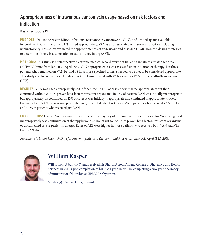#### Appropriateness of intravenous vancomycin usage based on risk factors and indication

Kasper WR, Ours RL

**PURPOSE:** Due to the rise in MRSA infections, resistance to vancomycin (VAN), and limited agents available for treatment, it is imperative VAN is used appropriately. VAN is also associated with several toxicities including nephrotoxicity. This study evaluated the appropriateness of VAN usage and assessed UPMC Hamot's dosing strategies to determine if there is a correlation to acute kidney injury (AKI).

**METHODS:** This study is a retrospective electronic medical record review of 100 adult inpatients treated with VAN at UPMC Hamot from January - April, 2017. VAN appropriateness was assessed upon initiation of therapy. For those patients who remained on VAN beyond 48 hours, pre-specified criteria needed to be met to be considered appropriate. This study also looked at patients rates of AKI in those treated with VAN as well as VAN + piperacillin/tazobactam (PTZ).

**RESULTS:** VAN was used appropriately 46% of the time. In 17% of cases it was started appropriately but then continued without culture proven beta-lactam resistant organisms. In 22% of patients VAN was initially inappropriate but appropriately discontinued. In 15% of cases it was initially inappropriate and continued inappropriately. Overall, the majority of VAN use was inappropriate (54%). The total rate of AKI was 12% in patients who received VAN + PTZ and 4.2% in patients who received just VAN.

**CONCLUSIONS:** Overall VAN was used inappropriately a majority of the time. A prevalent reason for VAN being used inappropriately was continuation of therapy beyond 48 hours without culture proven beta-lactam resistant organisms or documented severe penicillin allergy. Rates of AKI were higher in those patients who received both VAN and PTZ than VAN alone.

*Presented at Hamot Research Days for Pharmacy/Medical Residents and Preceptors, Erie, PA, April 11-12, 2018.*



#### **William Kasper**

Will is from Albany, NY, and received his PharmD from Albany College of Pharmacy and Health Sciences in 2017. Upon completion of his PGY1 year, he will be completing a two-year pharmacy administration fellowship at UPMC Presbyterian.

**Mentor(s):** Rachael Ours, PharmD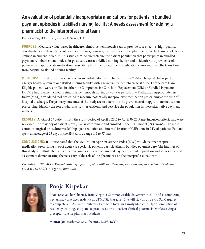#### An evaluation of potentially inappropriate medications for patients in bundled payment episodes in a skilled nursing facility: A needs assessment for adding a pharmacist to the interprofessional team

Kirpekar PA, D'Amico F, Kryger E, Sakely HA

**PURPOSE:** Medicare value-based healthcare reimbursement models seek to provide cost-effective, high-quality, coordinated care through use of healthcare teams; however, the role of a clinical pharmacist on the team is not clearly defined in current literature. This study aims to characterize the patient population that participates in bundled payment reimbursement models for postacute care at a skilled nursing facility and to identify the prevalence of potentially inappropriate medication prescribing at a time susceptible to medication errors—during the transition from hospital to skilled nursing facility.

**METHODS:** This retrospective chart review included patients discharged from a 250-bed hospital that is part of a larger health system to one skilled nursing facility with a geriatric-trained pharmacist as part of the care team. Eligible patients were enrolled in either the Comprehensive Care Joint Replacement (CJR) or Bundled Payments for Care Improvement (BPCI) reimbursement models during a two-year period. The Medication Appropriateness Index (MAI), a validated tool, was used to measure potentially inappropriate medication prescribing at the time of hospital discharge. The primary outcomes of the study are to determine the prevalence of inappropriate medication prescribing, identify the role of pharmacist interventions, and describe the population in these alternative payment models.

**RESULTS:** A total of 67 patients from the study period of April 1, 2015 to April 30, 2017 met inclusion criteria and were reviewed. The majority of patients (79%; n=53) were female and enrolled in the BPCI model (99%; n=66). The most common surgical procedure was left hip open reduction and internal fixation (ORIF) done in 24% of patients. Patients spent an average of 23 days in the SNF with a range of 1 to 77 days.

**CONCLUSIONS:** It is anticipated that the Medication Appropriateness Index (MAI) will detect inappropriate medication prescribing in post-acute care geriatric patients participating in bundled payment care. The findings of this study will illustrate the medication complexities of the bundled payment patient population and serves as a needs assessment demonstrating the necessity of the role of the pharmacist on the interprofessional team.

*Presented at 2018 ACCP Virtual Poster Symposium, May 2018, and Teaching and Learning in Academic Medicine (TLAM), UPMC St. Margaret, June 2018.*



# **Pooja Kirpekar**

Pooja received her PharmD from Virginia Commonwealth University in 2017 and is completing a pharmacy practice residency at UPMC St. Margaret. She will stay on at UPMC St. Margaret to complete a PGY-2 in Ambulatory Care with focus in Family Medicine. Upon completion of residency training, she plans to practice as an outpatient clinical pharmacist while serving a preceptor role for pharmacy students.

**Mentor(s):** Heather Sakely, PharmD, BCPS, BCGP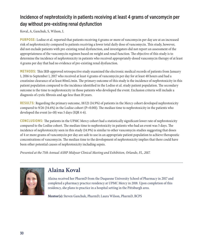#### Incidence of nephrotoxicity in patients receiving at least 4 grams of vancomycin per day without pre-existing renal dysfunction

Koval, A, Ganchuk, S, Wilson, L

**PURPOSE:** Lodise et al. reported that patients receiving 4 grams or more of vancomycin per day are at an increased risk of nephrotoxicity compared to patients receiving a lower total daily dose of vancomycin. This study, however, did not exclude patients with pre-existing renal dysfunction, and investigators did not report an assessment of the appropriateness of the vancomycin regimen based on weight and renal function. The objective of this study is to determine the incidence of nephrotoxicity in patients who received appropriately-dosed vancomycin therapy of at least 4 grams per day that had no evidence of pre-existing renal dysfunction.

**METHODS:** This IRB-approved retrospective study examined the electronic medical records of patients from January 1, 2016 to September 1, 2017 who received at least 4 grams of vancomycin per day for at least 48 hours and had a creatinine clearance of at least 80mL/min. The primary outcome of this study is the incidence of nephrotoxicity in this patient population compared to the incidence identified in the Lodise et al. study patient population. The secondary outcome is the time to nephrotoxicity in those patients who developed the event. Exclusion criteria will include a diagnosis of cystic fibrosis and age less than 18 years.

**RESULTS:** Regarding the primary outcome, 18/121 (14.9%) of patients in the Mercy cohort developed nephrotoxicity compared to  $9/26$  (34.6%) in the Lodise cohort (P=0.001). The median time to nephrotoxicity in the patients who developed the event (n=18) was 5 days (IQR 4-6).

**CONCLUSIONS:** The patients in the UPMC Mercy cohort had a statistically significant lower rate of nephrotoxicity compared to the Lodise cohort. The median time to nephrotoxicity in patients who had an event was 5 days. The incidence of nephrotoxicity seen in this study (14.9%) is similar to other vancomycin studies suggesting that doses of 4 or more grams of vancomycin per day are safe to use in an appropriate patient population to achieve therapeutic concentrations of vancomycin. The median time to the development of nephrotoxicity implies that there could have been other potential causes of nephrotoxicity including sepsis.

*Presented at the 75th Annual ASHP Midyear Clinical Meeting and Exhibition, Orlando, FL, 2017.*



### **Alaina Koval**

Alaina received her PharmD from the Duquesne University School of Pharmacy in 2017 and completed a pharmacy practice residency at UPMC Mercy in 2018. Upon completion of this residency, she plans to practice in a hospital setting in the Pittsburgh area.

**Mentor(s):** Steven Ganchuk, PharmD; Laura Wilson, PharmD, BCPS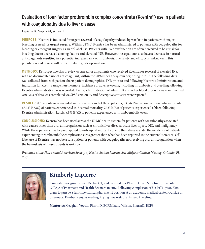#### Evaluation of four-factor prothrombin complex concentrate (Kcentra®) use in patients with coagulopathy due to liver disease

Lapierre K, Voycik M, Wilson L

**PURPOSE:** Kcentra is indicated for urgent reversal of coagulopathy induced by warfarin in patients with major bleeding or need for urgent surgery. Within UPMC, Kcentra has been administered to patients with coagulopathy for bleeding or emergent surgery as an off-label use. Patients with liver dysfunction are often perceived to be at risk for bleeding due to decreased clotting factors and elevated INR. However, these patients also have a decrease in natural anticoagulants resulting in a potential increased risk of thrombosis. The safety and efficacy is unknown in this population and review will provide data to guide optimal use.

**METHODS:** Retrospective chart review occurred for all patients who received Kcentra for reversal of elevated INR with no documented use of anticoagulant, within the UPMC health-system beginning in 2013. The following data was collected from each patient chart: patient demographics, INR prior to and following Kcentra administration, and indication for Kcentra usage. Furthermore, incidence of adverse events, including thrombosis and bleeding following Kcentra administration, was recorded. Lastly, administration of vitamin K and other blood products was documented. Analysis of data was completed via SPSS version 25 and descriptive statistics were reported.

**RESULTS:** 82 patients were included in the analysis and of those patients, 63 (76.8%) had one or more adverse events. 68.3% (56/82) of patients experienced in-hospital mortality. 7.3% (6/82) of patients experienced a bleed following Kcentra administration. Lastly, 9.8% (8/82) of patients experienced a thromboembolic event.

**CONCLUSIONS:** Kcentra has been used across the UPMC health system for patients with coagulopathy associated with causes other than oral anticoagulation such as chronic liver disease, acute liver injury, DIC, and malignancy. While these patients may be predisposed to in-hospital mortality due to their disease state, the incidence of patients experiencing thromboembolic complications was greater than what has been reported in the current literature. Off label use of Kcentra may not be a safe option for patients with coagulopathy not receiving oral anticoagulation when the hemostasis of these patients is unknown.

*Presented at the 75th annual American Society of Health-System Pharmacists Midyear Clinical Meeting, Orlando, FL, 2017.*



# **Kimberly Lapierre**

Kimberly is originally from Berlin, CT, and received her PharmD from St. John's University College of Pharmacy and Health Sciences in 2017. Following completion of her PGY1 year, Kim plans to pursue a full time clinical pharmacist position at an academic medical center. Outside of pharmacy, Kimberly enjoys reading, trying new restaurants, and traveling.

**Mentor(s):** Meaghan Voycik, PharmD, BCPS; Laura Wilson, PharmD, BCPS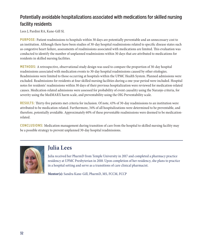#### Potentially avoidable hospitalizations associated with medications for skilled nursing facility residents

Lees J, Pardini RA, Kane-Gill SL

**PURPOSE:** Patient readmissions to hospitals within 30 days are potentially preventable and an unnecessary cost to an institution. Although there have been studies of 30-day hospital readmissions related to specific disease states such as congestive heart failure, assessments of readmissions associated with medications are limited. This evaluation was conducted to identify the number of unplanned readmissions within 30 days that are attributed to medications for residents in skilled nursing facilities.

**METHODS:** A retrospective, observational study design was used to compare the proportion of 30-day hospital readmissions associated with medication events to 30-day hospital readmissions caused by other etiologies. Readmissions were limited to those occurring at hospitals within the UPMC Health System. Planned admissions were excluded. Readmissions for residents at four skilled nursing facilities during a one-year period were included. Hospital notes for residents' readmissions within 30 days of their previous hospitalization were reviewed for medication-related causes. Medication-related admissions were assessed for probability of event causality using the Naranjo criteria, for severity using the MedMARX harm scale, and preventability using the OIG Preventability scale.

**RESULTS:** Thirty-five patients met criteria for inclusion. Of note, 43% of 30-day readmissions to an institution were attributed to be medication-related. Furthermore, 34% of all hospitalizations were determined to be preventable, and therefore, potentially avoidable. Approximately 60% of these preventable readmissions were deemed to be medicationrelated.

**CONCLUSIONS:** Medication management during transition of care from the hospital to skilled nursing facility may be a possible strategy to prevent unplanned 30-day hospital readmissions.



#### **Julia Lees**

Julia received her PharmD from Temple University in 2017 and completed a pharmacy practice residency at UPMC Presbyterian in 2018. Upon completion of her residency, she plans to practice in a hospital setting and serve as a transitions of care clinical pharmacist.

**Mentor(s):** Sandra Kane-Gill, PharmD, MS, FCCM, FCCP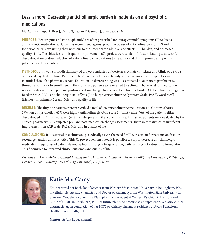#### Less is more: Decreasing anticholinergic burden in patients on antipsychotic medications

MacCamy K, Lupu A, Brar J, Carr CN, Fabian T, Gannon J, Chengappa KN

**PURPOSE:** Benztropine and trihexyphenidyl are often prescribed for extrapyramidal symptoms (EPS) due to antipsychotic medications. Guidelines recommend against prophylactic use of anticholinergics for EPS and for periodically reevaluating their need due to the potential for additive side effects, pill burden, and decreased quality of life. The objectives of this quality improvement (QI) project were to identify factors leading to successful discontinuation or dose reduction of anticholinergic medications to treat EPS and thus improve quality of life in patients on antipsychotics.

**METHODS:** This was a multidisciplinary QI project conducted at Western Psychiatric Institute and Clinic of UPMC's outpatient psychiatric clinic. Patients on benztropine or trihexyphenidyl and concomitant antipsychotics were identified through a pharmacy report. Education on deprescribing was disseminated to outpatient psychiatrists through email prior to enrollment in the study, and patients were referred to a clinical pharmacist for medication review. Scales were used pre- and post-medication changes to assess anticholinergic burden (Anticholinergic Cognitive Burden Scale, ACB), anticholinergic side effects (Pittsburgh Anticholinergic Symptom Scale, PASS), word recall (Memory Impairment Screen, MIS), and quality of life.

**RESULTS:** The fifty-one patients were prescribed a total of 156 anticholinergic medications; 41% antipsychotics, 59% non-antipsychotics; 67% were highly anticholinergic (ACB score 3). Thirty-nine (76%) of the patients either discontinued (n=31), or decreased (n=8) benztropine or trihexyphenidyl use. Thirty-two patients were evaluated by the clinical pharmacist; 26 completed pre- and post-medication change assessments. There were statistically significant improvements on ACB scale, PASS, MIS, and in quality of life.

**CONCLUSIONS:** It is essential that clinicians periodically assess the need for EPS treatment for patients on first- or second-generation antipsychotics. This QI project demonstrated it is possible to stop or decrease anticholinergic medications regardless of patient demographics, antipsychotic generation, daily antipsychotic dose, and formulation. This finding led to improved clinical outcomes and quality of life.

*Presented at ASHP Midyear Clinical Meeting and Exhibition, Orlando, FL, December 2017, and University of Pittsburgh, Department of Psychiatry Research Day, Pittsburgh, PA, June 2018.* 



# **Katie MacCamy**

Katie received her Bachelor of Science from Western Washington University in Bellingham, WA, in cellular biology and chemistry and Doctor of Pharmacy from Washington State University in Spokane, WA. She is currently a PGY1 pharmacy resident at Western Psychiatric Institute and Clinic of UPMC in Pittsburgh, PA. Her future plan is to practice as an inpatient psychiatric clinical pharmacist upon completion of her PGY2 psychiatry pharmacy residency at Avera Behavioral Health in Sioux Falls, SD.

**Mentor(s):** Ana Lupu, PharmD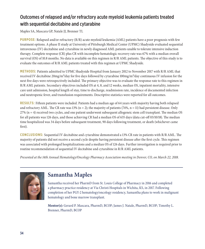#### Outcomes of relapsed and/or refractory acute myeloid leukemia patients treated with sequential decitabine and cytarabine

Maples SA, Mascara GP, Natale JJ, Brenner TL

**PURPOSE:** Relapsed and/or refractory (R/R) acute myeloid leukemia (AML) patients have a poor prognosis with few treatment options. A phase II study at University of Pittsburgh Medical Center (UPMC) Shadyside evaluated sequential intravenous (IV) decitabine and cytarabine in newly diagnosed AML patients unable to tolerate intensive induction therapy. Complete response (CR) plus CR with incomplete hematologic recovery rate was 67% with a median overall survival (OS) of 10.8 months. No data is available on this regimen in R/R AML patients. The objective of this study is to evaluate the outcomes of R/R AML patients treated with this regimen at UPMC Shadyside.

**METHODS:** Patients admitted to UPMC Shadyside Hospital from January 2012 to November 2017 with R/R AML that received IV decitabine 20mg/m²/day for five days followed by cytarabine 100mg/m²/day continuous IV infusion for the next five days were retrospectively included. The primary objective was to evaluate the response rate to this regimen in R/R AML patients. Secondary objectives included OS at 4, 8, and 12 weeks, median OS, inpatient mortality, intensive care unit admission, hospital length of stay, time to discharge, readmission rate, incidence of documented infection and neutropenic fever, and transfusion requirements. Descriptive statistics were reported for all outcomes.

**RESULTS:** Fifteen patients were included. Patients had a median age of 64 years with majority having both relapsed and refractory AML. The CR rate was 13%  $(n = 2)$ ; the majority of patients (74%, n = 11) had persistent disease. Only 27% (n = 4) received two cycles, and one patient underwent subsequent allogeneic stem cell transplant. The median OS for all patients was 126 days, and those achieving CR had a median OS of 635 days (data cut-off 03/10/18). The median time hospitalized was 34 days before subsequent treatment, 90 days following treatment, or death (whichever came first).

**CONCLUSIONS:** Sequential IV decitabine and cytarabine demonstrated a 13% CR rate in patients with R/R AML. The majority of patients did not receive a second cycle despite having persistent disease after the first cycle. This regimen was associated with prolonged hospitalizations and a median OS of 126 days. Further investigation is required prior to routine recommendation of sequential IV decitabine and cytarabine in R/R AML patients.

*Presented at the 14th Annual Hematology/Oncology Pharmacy Association meeting in Denver, CO, on March 22, 2018.* 



### **Samantha Maples**

Samantha received her PharmD from St. Louis College of Pharmacy in 2016 and completed a pharmacy practice residency at Via Christi Hospitals in Wichita, KS, in 2017. Following completion of her PGY-2 hematology/oncology residency, Samantha plans to work in malignant hematology and bone marrow transplant.

**Mentor(s):** Gerard P. Mascara, PharmD, BCOP; James J. Natale, PharmD, BCOP; Timothy L. Brenner, PharmD, BCOP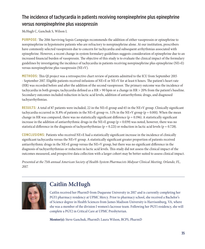#### The incidence of tachycardia in patients receiving norepinephrine plus epinephrine versus norepinephrine plus vasopressin

McHugh C, Ganchuk S, Wilson L

**PURPOSE:** The 2016 Surviving Sepsis Campaign recommends the addition of either vasopressin or epinephrine to norepinephrine in hypotensive patients who are refractory to norepinephrine alone. At our institution, prescribers have commonly selected vasopressin due to concern for tachycardia and subsequent arrhythmias associated with epinephrine. However, a recent change in system formulary guidelines suggests consideration of epinephrine due to an increased financial burden of vasopressin. The objective of this study is to evaluate the clinical impact of the formulary guidelines by investigating the incidence of tachycardia in patients receiving norepinephrine plus epinephrine (NE+E) versus norepinephrine plus vasopressin (NE+V).

**METHODS:** This QI project was a retrospective chart review of patients admitted to the ICU from September 2015 - September 2017. Eligible patients received infusions of NE+E or NE+V for at least 6 hours. The patient's heart rate (HR) was recorded before and after the addition of the second vasopressor. The primary outcome was the incidence of tachycardia in both groups; tachycardia defined as a HR > 90 bpm or a change in HR > 20% from the patient's baseline. Secondary outcomes included reduction in lactic acid levels, addition of antiarrhythmic drugs, and diagnosed tachyarrhythmias.

**RESULTS:** A total of 87 patients were included, 22 in the NE+E group and 65 in the NE+V group. Clinically significant tachycardia occurred in 31.8% of patients in the NE+E group vs. 3.1% in the NE+V group ( $p = 0.001$ ). When the mean change in HR was compared, there was no statistically significant difference ( $p = 0.196$ ). A statistically significant increase in the addition of antiarrhythmic drugs in the NE+E group ( $p = 0.039$ ) was noted, however, there was no statistical difference in the diagnosis of tachyarrhythmias ( $p = 0.221$ ) or reduction in lactic acid levels ( $p = 0.728$ ).

**CONCLUSIONS:** Patients who received NE+E had a statistically significant increase in the incidence of clinically significant tachycardia versus the NE+V group. A statistically significant greater proportion of patients received antiarrhythmic drugs in the NE+E group versus the NE+V group, but there was no significant difference in the diagnosis of tachyarrhythmias or reduction in lactic acid levels. This study did not assess the clinical impact of the outcomes measured, and prospective data collection with a larger cohort may be better suited to assess clinical impact.

*Presented at the 75th annual American Society of Health-System Pharmacists Midyear Clinical Meeting, Orlando, FL, 2017.* 



# **Caitlin McHugh**

Caitlin received her PharmD from Duquesne University in 2017 and is currently completing her PGY1 pharmacy residency at UPMC Mercy. Prior to pharmacy school, she received a Bachelor's of Science degree in Health Sciences from James Madison University is Harrisonburg, VA, where she was a member of the division I women's lacrosse team. Following her PGY1 residency, she will complete a PGY2 in Critical Care at UPMC Presbyterian.

**Mentor(s):** Steve Ganchuk, PharmD; Laura Wilson, BCPS, PharmD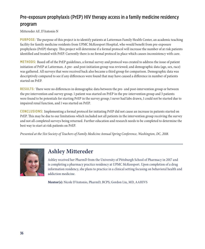#### Pre-exposure prophylaxis (PrEP) HIV therapy access in a family medicine residency program

Mittereder AF, D'Antonio N

**PURPOSE:** The purpose of this project is to identify patients at Latterman Family Health Center, an academic teaching facility for family medicine residents from UPMC McKeesport Hospital, who would benefit from pre-exposure prophylaxis (PrEP) therapy. This project will determine if a formal protocol will increase the number of at risk patients identified and treated with PrEP. Currently there is no formal protocol in place which causes inconsistency with care.

**METHODS:** Based off of the PrEP guidelines, a formal survey and protocol was created to address the issue of patient initiation of PrEP at Latterman. A pre- and post-initiation group was reviewed; and demographic data (age, sex, race) was gathered. All surveys that were received back also became a third group for comparison. Demographic data was descriptively compared to see if any differences were found that may have caused a difference in number of patients started on PrEP.

**RESULTS:** There were no differences in demographic data between the pre- and post-intervention group or between the pre intervention and survey group. 1 patient was started on PrEP in the pre-intervention group and 3 patients were found to be potentials for starting PrEP in the survey group; 1 never had labs drawn, 1 could not be started due to impaired renal function, and 1 was started on PrEP.

**CONCLUSIONS:** Implementing a formal protocol for initiating PrEP did not cause an increase in patients started on PrEP. This may be due to our limitations which included not all patients in the intervention group receiving the survey and not all completed surveys being returned. Further education and research needs to be completed to determine the best way to start at risk patients on PrEP.

*Presented at the 51st Society of Teachers of Family Medicine Annual Spring Conference, Washington, DC, 2018.* 



### **Ashley Mittereder**

Ashley received her PharmD from the University of Pittsburgh School of Pharmacy in 2017 and is completing a pharmacy practice residency at UPMC McKeesport. Upon completion of a drug information residency, she plans to practice in a clinical setting focusing on behavioral health and addiction medicine.

**Mentor(s):** Nicole D'Antonio, PharmD, BCPS; Gordon Liu, MD, AAHIVS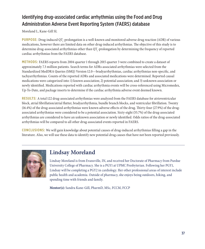#### Identifying drug-associated cardiac arrhythmias using the Food and Drug Administration Adverse Event Reporting System (FAERS) database

Moreland L, Kane-Gill SL

**PURPOSE:** Drug-induced QT<sub>c</sub>-prolongation is a well-known and monitored adverse drug reaction (ADR) of various medications, however there are limited data on other drug-induced arrhythmias. The objective of this study is to determine drug-associated arrhythmias other than QT $_{\rm c}$ -prolongation by determining the frequency of reported cardiac arrhythmias from the FAERS database.

**METHODS:** FAERS reports from 2004 quarter 1 through 2015 quarter 3 were combined to create a dataset of approximately 7.3 million patients. Search terms for ADRs associated arrhythmias were selected from the Standardized MedDRA Queries (SMQ) Version 12.0—bradyarrhythmias, cardiac arrhythmias non-specific, and tachyarrhythmias. Counts of the reported ADRs and associated medications were determined. Reported causal medications were categorized into: 1) known association; 2) potential association; and 3) unknown association or newly identified. Medications reported with cardiac arrhythmia events will be cross-referenced using Micromedex, Up-To-Date, and package inserts to determine if the cardiac arrhythmia adverse event deemed known.

**RESULTS:** A total 122 drug-associated arrhythmias were analyzed from the FAERS database for atrioventricular block, atrial fibrillation/atrial flutter, bradyarrhythmia, bundle branch blocks, and ventricular fibrillation. Twenty (16.4%) of the drug-associated arrhythmias were known adverse effects of the drug. Thirty-four (27.9%) of the drugassociated arrhythmias were considered to be a potential association. Sixty-eight (55.7%) of the drug-associated arrhythmias are considered to have an unknown association or newly identified. Odds ratios of the drug-associated arrhythmias will be compared to all other drug-associated events reported in FAERS.

**CONCLUSIONS:** We will gain knowledge about potential causes of drug-induced arrhythmias filling a gap in the literature. Also, we will use these data to identify new potential drug causes that have not been reported previously.



# **Lindsay Moreland**

Lindsay Moreland is from Evansville, IN, and received her Doctorate of Pharmacy from Purdue University College of Pharmacy. She is a PGY1 at UPMC Presbyterian. Following her PGY1, Lindsay will be completing a PGY2 in cardiology. Her other professional areas of interest include public health and academia. Outside of pharmacy, she enjoys being outdoors, hiking, and spending time with friends and family.

**Mentor(s):** Sandra Kane-Gill, PharmD, MSc, FCCM, FCCP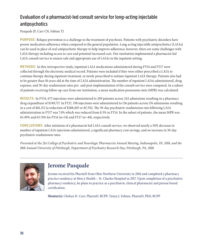#### Evaluation of a pharmacist-led consult service for long-acting injectable antipsychotics

Pasquale JF, Carr CN, Fabian TJ

**PURPOSE:** Relapse prevention is a challenge in the treatment of psychosis. Patients with psychiatric disorders have poorer medication adherence when compared to the general population. Long-acting injectable antipsychotics (LAIAs) can be used in place of oral antipsychotic therapy to help improve adherence; however, there are some challenges with LAIA therapy including access to care and potential increased cost. Our institution implemented a pharmacist-led LAIA consult service to ensure safe and appropriate use of LAIAs in the inpatient setting.

**METHODS:** In this retrospective study, inpatient LAIA medications administered during FY14 and FY17 were collected through the electronic medical record. Patients were included if they were either prescribed a LAIA to continue therapy during inpatient treatment, or newly prescribed to initiate inpatient LAIA therapy. Patients also had to be greater than 18 years old at the time of LAIA administration. The number of inpatient LAIAs administered, drug expense, and 30-day readmission rates pre- and post-implementation of the consult service were compared. In a subset of patients receiving follow-up care from our institution, a mean medication possession ratio (MPR) was calculated.

**RESULTS:** In FY14, 673 injections were administered to 209 patients across 242 admissions resulting in a pharmacy drug expenditure of \$349,717. In FY17, 338 injections were administered to 156 patients across 176 admissions resulting in a cost of \$61,312 (a reduction of \$288,405 or 82.5%). The 30-day psychiatric readmission rate following LAIA administration in FY17 was 7.4% which was reduced from 8.3% in FY14. In the subset of patients, the mean MPR was 65.49% and 65.74% for FY14 (n=34) and FY17 (n=40), respectively.

**CONCLUSIONS:** After initiation of a pharmacist-led LAIA consult service, we observed nearly a 50% decrease in number of inpatient LAIA injections administered, a significant pharmacy cost savings, and no increase in 30-day psychiatric readmission rates.

*Presented at the 21st College of Psychiatric and Neurologic Pharmacists Annual Meeting, Indianapolis, IN, 2018, and the 18th Annual University of Pittsburgh, Department of Psychiatry Research Day, Pittsburgh, PA, 2018.*



### **Jerome Pasquale**

Jerome received his PharmD from Ohio Northern University in 2016 and completed a pharmacy practice residency at Mercy Health – St. Charles Hospital in 2017. Upon completion of a psychiatric pharmacy residency, he plans to practice as a psychiatric clinical pharmacist and pursue board certification.

**Mentor(s):** Chelsea N. Carr, PharmD, BCPP; Tanya J. Fabian, PharmD, PhD, BCPP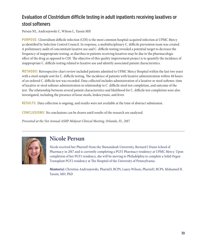#### Evaluation of Clostridium difficile testing in adult inpatients receiving laxatives or stool softeners

Persun NL, Andrzejewski C, Wilson L, Yassin MH

**PURPOSE:** Clostridium difficile infection (CDI) is the most common hospital-acquired infection at UPMC Mercy as identified by Infection Control Council. In response, a multidisciplinary C. difficile prevention team was created. A preliminary audit of concomitant laxative use and C. difficile testing revealed a potential target to decrease the frequency of inappropriate testing, as diarrhea in patients receiving laxatives may be due to the pharmacologic effect of the drug as opposed to CDI. The objective of this quality improvement project is to quantify the incidence of inappropriate C. difficile testing related to laxative use and identify associated patient characteristics.

**METHODS:** Retrospective chart review included patients admitted to UPMC Mercy Hospital within the last two years with a stool sample sent for C. difficile testing. The incidence of patients with laxative administration within 48 hours of an ordered C. difficile test was recorded. Data collected includes administration of a laxative or stool softener, time of laxative or stool softener administration in relationship to C. difficile stool test completion, and outcome of the test. The relationship between several patient characteristics and likelihood for C. difficile test completion were also investigated, including the presence of loose stools, leukocytosis, and fever.

**RESULTS:** Data collection is ongoing, and results were not available at the time of abstract submission.

**CONCLUSIONS:** No conclusions can be drawn until results of the research are analyzed.

*Presented at the 51st Annual ASHP Midyear Clinical Meeting, Orlando, FL, 2017.*



#### **Nicole Persun**

Nicole received her PharmD from the Shenandoah University, Bernard J Dunn School of Pharmacy in 2017 and is currently completing a PGY1 Pharmacy residency at UPMC Mercy. Upon completion of her PGY1 residency, she will be moving to Philadelphia to complete a Solid Organ Transplant PGY2 residency at The Hospital of the University of Pennsylvania.

**Mentor(s):** Christina Andrzejewski, PharmD, BCPS; Laura Wilson, PharmD, BCPS; Mohamed H. Yassin, MD, PhD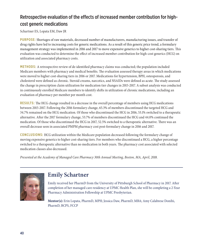#### Retrospective evaluation of the effects of increased member contribution for highcost generic medications

Schartner ES, Lopata EM, Daw JR

**PURPOSE:** Shortages of raw materials, decreased number of manufacturers, manufacturing issues, and transfer of drug rights have led to increasing costs for generic medications. As a result of this generic price trend, a formulary management strategy was implemented in 2016 and 2017 to move expensive generics to higher cost-sharing tiers. This evaluation was conducted to determine the effect of increased member contribution for high-cost generics (HCG) on utilization and associated pharmacy costs.

**METHODS:** A retrospective review of de-identified pharmacy claims was conducted; the population included Medicare members with pharmacy and medical benefits. The evaluation assessed therapy areas in which medications were moved to higher cost-sharing tiers in 2016 or 2017. Medications for hypertension, BPH, osteoporosis, and cholesterol were defined as chronic. Steroid creams, narcotics, and NSAIDs were defined as acute. The study assessed the change in prescription claim utilization for medication tier changes in 2015-2017. A subset analysis was conducted in continuously enrolled Medicare members to identify shifts in utilization of chronic medications, including an evaluation of pharmacy per member per month cost.

**RESULTS:** The HCG change resulted in a decrease in the overall percentage of members using HCG medications between 2015-2017. Following the 2016 formulary change, 65.3% of members discontinued the targeted HCG and 34.7% remained on the HCG medication. Of those who discontinued the HCG in 2016, 53.1% switched to a therapeutic alternative. After the 2017 formulary change, 53.7% of members discontinued the HCG and 44.0% continued the medication. Of those who discontinued the HCG in 2017, 52.5% switched to a therapeutic alternative. There was an overall decrease seen in associated PMPM pharmacy cost post-formulary change in 2016 and 2017.

**CONCLUSIONS:** HCG utilization within the Medicare population decreased following the formulary change of moving expensive generics to higher cost-sharing tiers. For members who discontinued a HCG, a higher percentage switched to a therapeutic alternative than no medication in both years. The pharmacy cost associated with selected medication classes also decreased.

*Presented at the Academy of Managed Care Pharmacy 30th Annual Meeting, Boston, MA, April, 2018.* 



#### **Emily Schartner**

Emily received her PharmD from the University of Pittsburgh School of Pharmacy in 2017. After completion of her managed care residency at UPMC Health Plan, she will be completing a 2-Year Pharmacy Administration Fellowship at UPMC Presbyterian.

**Mentor(s):** Erin Lopata, PharmD, MPH; Jessica Daw, PharmD, MBA; Amy Calabrese Donihi, PharmD, BCPS, FCCP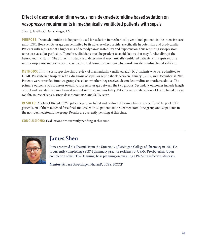#### Effect of dexmedetomidine versus non-dexmedetomidine based sedation on vasopressor requirements in mechanically ventilated patients with sepsis

Shen, J, Iasella, CJ, Groetzinger, LM

**PURPOSE:** Dexmedetomidine is frequently used for sedation in mechanically ventilated patients in the intensive care unit (ICU). However, its usage can be limited by its adverse effect profile, specifically hypotension and bradycardia. Patients with sepsis are at a higher risk of hemodynamic instability and hypotension, thus requiring vasopressors to restore vascular perfusion. Therefore, clinicians must be prudent to avoid factors that may further disrupt the hemodynamic status. The aim of this study is to determine if mechanically ventilated patients with sepsis require more vasopressor support when receiving dexmedetomidine compared to non-dexmedetomidine based sedation.

**METHODS:** This is a retrospective chart review of mechanically ventilated adult ICU patients who were admitted to UPMC Presbyterian hospital with a diagnosis of sepsis or septic shock between January 1, 2015, and December 31, 2016. Patients were stratified into two groups based on whether they received dexmedetomidine or another sedative. The primary outcome was to assess overall vasopressor usage between the two groups. Secondary outcomes include length of ICU and hospital stay, mechanical ventilation time, and mortality. Patients were matched on a 1:1 ratio based on age, weight, source of sepsis, stress dose steroid use, and SOFA score.

**RESULTS:** A total of 116 out of 260 patients were included and evaluated for matching criteria. From the pool of 116 patients, 60 of them matched for a final analysis, with 30 patients in the dexmedetomidine group and 30 patients in the non-dexmedetomidine group. Results are currently pending at this time.

**CONCLUSIONS:** Evaluations are currently pending at this time.



#### **James Shen**

James received his PharmD from the University of Michigan College of Pharmacy in 2017. He is currently completing a PGY-1 pharmacy practice residency at UPMC Presbyterian. Upon completion of his PGY-1 training, he is planning on pursuing a PGY-2 in infectious diseases.

**Mentor(s):** Lara Groetzinger, PharmD, BCPS, BCCCP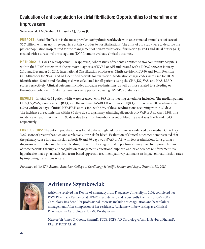#### Evaluation of anticoagulation for atrial fibrillation: Opportunities to streamline and improve care

Szymkowiak AM, Seybert AL, Iasella CJ, Coons JC

**PURPOSE:** Atrial fibrillation is the most prevalent arrhythmia worldwide with an estimated annual cost of care of \$6.7 billion, with nearly three quarters of this cost due to hospitalizations. The aims of our study were to describe the patient population hospitalized for the management of non-valvular atrial fibrillation (NVAF) and atrial flutter (AFl) treated with a direct oral anticoagulant (DOAC) and to evaluate clinical outcomes.

**METHODS:** This was a retrospective, IRB approved, cohort study of patients admitted to two community hospitals within the UPMC system with the primary diagnosis of NVAF or AFl and treated with a DOAC between January 1, 2011, and December 31, 2015. International Classification of Diseases, Ninth Revision (ICD-9) and Tenth Revision (ICD-10) codes for NVAF and AFl identified patients for evaluation. Medication charge codes were used for DOAC identification. Stroke and bleeding risk was calculated for all patients using the  $\rm CHA_{2}DS_{2}\!\cdot\! VAS_{c}$  and  $\rm HAS\text{-}BLED$ scores respectively. Clinical outcomes included all-cause readmissions, as well as those related to a bleeding or thromboembolic event. Statistical analyses were performed using IBM SPSS Statistics 25.0.

**RESULTS:** In total, 4664 patient visits were screened, with 983 visits meeting criteria for inclusion. The median patient CHA<sub>2</sub>DS<sub>2</sub>-VAS<sub>c</sub> score was 3 (IQR 1,4) and the median HAS-BLED score was 1 (IQR 1,2). There were 383 readmissions (39%) within 90 days of initial NVAF/AFl admission, with 58% of these readmissions occurring within 30 days. The incidence of readmission within 90 days due to a primary admitting diagnosis of NVAF or AFL was 44.9%. The incidence of readmission within 90 days due to a thromboembolic event or bleeding event was 0.52% and 1.04% respectively.

**CONCLUSIONS:** The patient population was found to be at high risk for stroke as evidenced by a median  $\text{CHA}_2\text{DS}_2$ -VAS $_{\rm c}$  score of greater than two and a relatively low risk for bleed. Evaluation of clinical outcomes demonstrated that the primary cause for readmission at both 30 and 90 days was NVAF or AFl with few readmissions for a primary diagnosis of thromboembolism or bleeding. These results suggest that opportunities may exist to improve the care of these patients through anticoagulation management, educational support, and/or adherence reinforcement. We hypothesize that a pharmacist led, team-based approach, treatment pathway can make an impact on readmission rates by improving transitions of care.

*Presented at the 67th Annual American College of Cardiology Scientific Session and Expo, Orlando, FL, 2018.*



### **Adrienne Szymkowiak**

Adrienne received her Doctor of Pharmacy from Duquesne University in 2016, completed her PGY1 Pharmacy Residency at UPMC Presbyterian, and is currently the institution's PGY2 Cardiology Resident. Her professional interests include anticoagulation and heart failure management. After completion of her residency, Adrienne will be working as a Clinical Pharmacist in Cardiology at UPMC Presbyterian.

**Mentor(s):** James C. Coons, PharmD, FCCP, BCPS-AQ Cardiology; Amy L. Seybert, PharmD, FASHP, FCCP, CHSE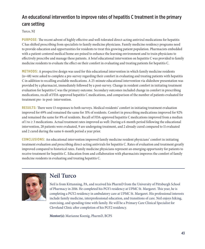#### An educational intervention to improve rates of hepatitis C treatment in the primary care setting

Turco, NJ

**PURPOSE:** The recent advent of highly effective and well-tolerated direct-acting antiviral medications for hepatitis C has shifted prescribing from specialists to family medicine physicians. Family medicine residency programs need to provide education and opportunities for residents to treat this growing patient population. Pharmacists embedded with a patient-centered medical home are poised to enhance the learning environment and to train physicians to effectively prescribe and manage these patients. A brief educational intervention on hepatitis C was provided to family medicine residents to evaluate the effect on their comfort in evaluating and treating patients for hepatitis C.

**METHODS:** A prospective design was used for this educational intervention in which family medicine residents (n=48) were asked to complete a pre-survey regarding their comfort in evaluating and treating patients with hepatitis C in addition to recalling available medications. A 25-minute educational intervention via slideshow presentation was provided by a pharmacist, immediately followed by a post-survey. Change in resident comfort in initiating treatment evaluation for hepatitis C was the primary outcome. Secondary outcomes included change in comfort in prescribing medications, recall of FDA-approved hepatitis C medications, and comparison of the number of patients evaluated for treatment pre- to post- intervention.

**RESULTS:** There were 13 responses to both surveys. Medical residents' comfort in initiating treatment evaluation improved for 69% and remained the same for 31% of residents. Comfort in prescribing medications improved for 92% and remained the same for 8% of residents. Recall of FDA-approved hepatitis C medications improved from a median of 1 to ≥ 3 medications. Actual treatment rates improved as well: During a 6-month period following the educational intervention, 28 patients were evaluated, 9 are undergoing treatment, and 2 already cured compared to 11 evaluated and 2 cured during the same 6-month period a year prior.

**CONCLUSIONS:** An educational intervention improved family medicine resident physicians' comfort in initiating treatment evaluation and prescribing direct-acting antivirals for hepatitis C. Rates of evaluation and treatment greatly improved compared to historical rates. Family medicine physicians represent an emerging opportunity for patients to receive treatment for hepatitis C. Education from and collaboration with pharmacists improves the comfort of family medicine residents in evaluating and treating hepatitis C.



### **Neil Turco**

Neil is from Kittanning, PA, and received his PharmD from the University of Pittsburgh School of Pharmacy in 2016. He completed his PGY1 residency at UPMC St. Margaret. This year, he is completing a PGY2 residency in ambulatory care at UPMC St. Margaret. His professional interests include family medicine, interprofessional education, and transitions of care. Neil enjoys hiking, exercising, and spending time with family. He will be a Primary Care Clinical Specialist for Cleveland Clinic after completion of his PGY2 residency.

**Mentor(s):** Marianne Koenig, PharmD, BCPS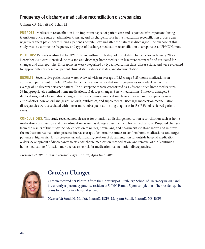#### Frequency of discharge medication reconciliation discrepancies

#### Ubinger CR, Moffett SM, Scholl M

**PURPOSE:** Medication reconciliation is an important aspect of patient care and is particularly important during transitions of care such as admission, transfer, and discharge. Errors in the medication reconciliation process can negatively affect patient care during a patient's hospital stay and after the patient is discharged. The purpose of this study was to examine the frequency and types of discharge medication reconciliation discrepancies at UPMC Hamot.

**METHODS:** Patients readmitted to UPMC Hamot within thirty days of hospital discharge between January 2017 - December 2017 were identified. Admission and discharge home medication lists were compared and evaluated for changes and discrepancies. Discrepancies were categorized by type, medication class, disease state, and were evaluated for appropriateness based on patient clinical status, disease states, and documentation.

**RESULTS:** Seventy-five patient cases were reviewed with an average of 12.5 (range 5-25) home medications on admission per patient. In total, 123 discharge medication reconciliation discrepancies were identified with an average of 1.6 discrepancies per patient. The discrepancies were categorized as 43 discontinued home medications, 39 inappropriately continued home medications, 15 dosage changes, 8 new medications, 8 interval changes, 8 duplications, and 2 formulation changes. The most common medication classes involved in discrepancies were antidiabetics, non-opioid analgesics, opioids, antibiotics, and supplements. Discharge medication reconciliation discrepancies were associated with one or more subsequent admitting diagnoses in 13 (17.3%) of reviewed patient cases.

**CONCLUSIONS:** This study revealed notable areas for attention at discharge medication reconciliation such as home medication continuation and discontinuation as well as dosage adjustments to home medications. Proposed changes from the results of this study include education to nurses, physicians, and pharmacists to standardize and improve the medication reconciliation process, increase usage of external resources to confirm home medications, and target patients at higher risk for discrepancies. Additionally, creation of documentation for outside hospital medication orders, development of discrepancy alerts at discharge medication reconciliation, and removal of the "continue all home medications" function may decrease the risk for medication reconciliation discrepancies.

*Presented at UPMC Hamot Research Days, Erie, PA, April 11-12, 2018.*



#### **Carolyn Ubinger**

Carolyn received her PharmD from the University of Pittsburgh School of Pharmacy in 2017 and is currently a pharmacy practice resident at UPMC Hamot. Upon completion of her residency, she plans to practice in a hospital setting.

**Mentor(s):** Sarah M. Moffett, PharmD, BCPS; Maryann Scholl, PharmD, MS, BCPS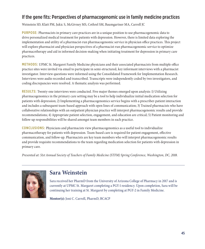#### If the gene fits: Perspectives of pharmacogenomic use in family medicine practices

Weinstein SD, Klatt PM, Jukic S, McGivney MS, Cothrel SM, Baumgartner MA, Carroll JC

**PURPOSE:** Pharmacists in primary care practices are in a unique position to use pharmacogenomic data to drive personalized medical treatment for patients with depression. However, there is limited data exploring the implementation and utility of a pharmacist-run pharmacogenomic service in physician office practices. This project will explore pharmacist and physician perspectives of a pharmacist-run pharmacogenomic service to optimize pharmacotherapy and aid in informed decision-making when initiating treatment for depression in primary care practices.

**METHODS:** UPMC St. Margaret Family Medicine physicians and their associated pharmacists from multiple office practice sites were invited via email to participate in semi-structured, key informant interviews with a pharmacist investigator. Interview questions were informed using the Consolidated Framework for Implementation Research. Interviews were audio recorded and transcribed. Transcripts were independently coded by two investigators, and coding discrepancies were resolved. A thematic analysis was performed.

**RESULTS:** Twenty-one interviews were conducted. Five major themes emerged upon analysis: 1) Utilizing pharmacogenomics in the primary care setting may be a tool to help individualize initial medication selection for patients with depression; 2) Implementing a pharmacogenomics service begins with a prescriber-patient interaction and includes a subsequent team-based approach with open lines of communication; 3) Trained pharmacists who have collaborative relationships with an outpatient physician practice will interpret pharmacogenomic results and provide recommendations; 4) Appropriate patient selection, engagement, and education are critical; 5) Patient monitoring and follow-up responsibilities will be shared amongst team members in each practice.

**CONCLUSIONS:** Physicians and pharmacists view pharmacogenomics as a useful tool to individualize pharmacotherapy for patients with depression. Team-based care is required for patient engagement, effective communication, and follow-up. Pharmacists are key team members who will interpret pharmacogenomic results and provide requisite recommendations to the team regarding medication selection for patients with depression in primary care.

*Presented at: 51st Annual Society of Teachers of Family Medicine (STFM) Spring Conference, Washington, DC, 2018.* 



#### **Sara Weinstein**

Sara received her PharmD from the University of Arizona College of Pharmacy in 2017 and is currently at UPMC St. Margaret completing a PGY-1 residency. Upon completion, Sara will be continuing her training at St. Margaret by completing at PGY-2 in Family Medicine.

**Mentor(s):** Joni C. Carroll, PharmD, BCACP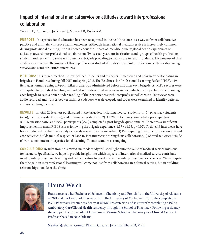#### Impact of international medical service on attitudes toward interprofessional collaboration

Welch HK, Connor SE, Jonkman LJ, Muzzio KB, Taylor AM

**PURPOSE:** Interprofessional education has been recognized in the health sciences as a way to foster collaborative practice and ultimately improve health outcomes. Although international medical service is increasingly common during professional training, little is known about the impact of interdisciplinary global health experiences on attitudes toward interprofessional collaboration. Twice each year, our institution sends groups of health professions students and residents to serve with a medical brigade providing primary care in rural Honduras. The purpose of this study was to evaluate the impact of this experience on student attitudes toward interprofessional collaboration using surveys and semi-structured interviews.

**METHODS:** This mixed-methods study included students and residents in medicine and pharmacy participating in brigades to Honduras during fall 2017 and spring 2018. The Readiness for Professional Learning Scale (RIPLS), a 19 item questionnaire using a 5-point Likert scale, was administered before and after each brigade. As RIPLS scores were anticipated to be high at baseline, individual semi-structured interviews were conducted with participants following each brigade to gain a better understanding of their experiences with interprofessional learning. Interviews were audio recorded and transcribed verbatim. A codebook was developed, and codes were examined to identify patterns and overarching themes.

**RESULTS:** In total, 20 learners participated in the brigades, including medical students (n=6), pharmacy students  $(n=6)$ , medical residents  $(n=6)$ , and pharmacy residents  $(n=2)$ . All 20 participants completed a pre-departure RIPLS questionnaire, and 19/20 participants (95%) completed a post-brigade questionnaire. There was a significant improvement in mean RIPLS scores following the brigade experience (4.57 vs 4.35, p=0.02). To date, 16 interviews have been conducted. Preliminary analysis reveals several themes including: 1) Participating in another profession's patient care activities builds mutual respect; 2) Face-to-face interaction strengthens collaboration; 3) Shared activities outside of work contribute to interprofessional learning. Thematic analysis is ongoing.

**CONCLUSIONS:** Results from this mixed-methods study will shed light onto the value of medical service missions for learners. Specifically, we hope to provide insight into which aspects of international medical service contribute most to interprofessional learning and help educators to develop effective interprofessional experiences. We anticipate that the gain in interprofessional learning will come not just from collaborating in a clinical setting, but in building relationships outside of the clinic.



# **Hanna Welch**

Hanna received her Bachelor of Science in Chemistry and French from the University of Alabama in 2011 and her Doctor of Pharmacy from the University of Michigan in 2016. She completed a PGY1 Pharmacy Practice residency at UPMC Presbyterian and is currently completing a PGY2 Ambulatory Care/Global Health residency through the School of Pharmacy. Following residency, she will join the University of Louisiana at Monroe School of Pharmacy as a Clinical Assistant Professor based in New Orleans.

**Mentor(s):** Sharon Connor, PharmD; Lauren Jonkman, PharmD, MPH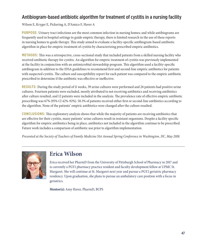#### Antibiogram-based antibiotic algorithm for treatment of cystitis in a nursing facility

Wilson E, Kryger E, Pickering A, D'Amico F, Haver A

**PURPOSE:** Urinary tract infections are the most common infection in nursing homes; and while antibiograms are frequently used in hospital settings to guide empiric therapy, there is limited research in the use of these reports in nursing homes to guide therapy. This study aimed to evaluate a facility-specific antibiogram-based antibiotic algorithm in place for empiric treatment of cystitis by characterizing prescribed empiric antibiotics.

**METHODS:** This was a retrospective, cross-sectional study that included patients from a skilled nursing facility who received antibiotic therapy for cystitis. An algorithm for empiric treatment of cystitis was previously implemented at the facility in conjunction with an antimicrobial stewardship program. This algorithm used a facility-specific antibiogram in addition to the IDSA guidelines to recommend first and second-line empiric antibiotics for patients with suspected cystitis. The culture and susceptibility report for each patient was compared to the empiric antibiotic prescribed to determine if the antibiotic was effective or ineffective.

**RESULTS:** During the study period of 11 weeks, 39 urine cultures were performed and 26 patients had positive urine cultures. Fourteen patients were excluded, mostly attributed to not receiving antibiotics and receiving antibiotics after culture resulted, and 12 patients were included in the analysis. The prevalence rate of effective empiric antibiotic prescribing was 67% (95% CI 42%-92%). 58.3% of patients received either first or second-line antibiotics according to the algorithm. None of the patients' empiric antibiotics were changed after the culture resulted.

**CONCLUSIONS:** This exploratory analysis shows that while the majority of patients are receiving antibiotics that are effective for their cystitis, many patients' urine cultures result in resistant organisms. Despite a facility specific algorithm for empiric antibiotics being in place, antibiotics not included in the algorithm continue to be prescribed. Future work includes a comparison of antibiotic use prior to algorithm implementation.

*Presented at the Society of Teachers of Family Medicine 51st Annual Spring Conference in Washington, DC, May 2018.*



#### **Erica Wilson**

Erica received her PharmD from the University of Pittsburgh School of Pharmacy in 2017 and is currently a PGY1 pharmacy practice resident and faculty development fellow at UPMC St. Margaret. She will continue at St. Margaret next year and pursue a PGY2 geriatric pharmacy residency. Upon graduation, she plans to pursue an ambulatory care position with a focus in geriatrics.

**Mentor(s):** Amy Haver, PharmD, BCPS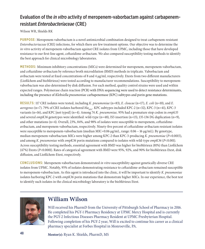#### Evaluation of the *in vitro* activity of meropenem-vaborbactam against carbapenemresistant *Enterobacteriaceae* (CRE)

Wilson WR, Shields RK

**PURPOSE:** Meropenem-vaborbactam is a novel antimicrobial combination designed to treat carbapenem-resistant *Enterobacteriaceae* (CRE) infections, for which there are few treatment options. Our objective was to determine the *in vitro* activity of meropenem-vaborbactam against CRE isolates from UPMC, including those that have developed resistance to our first-line agent, ceftazidime-avibactam. We also compared susceptibility testing methods to identify the best approach for clinical microbiology laboratories.

**METHODS:** Minimum inhibitory concentrations (MICs) were determined for meropenem, meropenem-vaborbactam, and ceftazidime-avibactam by reference broth microdilution (BMD) methods in triplicate. Vaborbactam and avibactam were tested at fixed concentrations of 8 and 4 µg/ml, respectively. Etests from two different manufacturers (Liofilchem and bioMérieux) were tested according to manufacturer recommendations. Susceptibility to meropenemvaborbactam was also determined by disk diffusion. For each method, quality control strains were used and within expected ranges. Polymerase chain reaction (PCR) with DNA sequencing were used to detect resistance determinants, including the presence of *Klebsiella pneumoniae* carbapenemase (KPC) subtypes and porin gene mutations.

**RESULTS:** 117 CRE isolates were tested, including *K. pneumoniae* (n=83), *E. cloacae* (n=17), *E. coli* (n=10), and *E. aerogenes* (n=7). 79% of CRE isolates harbored  $bla_{\text{cyc}}$ . KPC subtypes included KPC-2 (n=32), KPC-3 (n=41), KPC-3 variants (n=16), and KPC [not typed] (n=4). Among 74 *K. pneumoniae,* 95% had a premature stop codon in *ompk35*  and several *ompK36* genotypes were identified: wild-type (n=48), IS5 insertion (n=13), 135-136 DG duplication (n=9), and other mutations (n=4). Overall, 23%, 84%, and 98% of isolates were susceptible to meropenem, ceftazidimeavibactam, and meropenem-vaborbactam, respectively. Ninety-five percent of ceftazidime-avibactam resistant isolates were susceptible to meropenem-vaborbactam (median MIC=0.06 μg/mL, range: 0.06 – 16 μg/mL). By genotype, median meropenem-vaborbactam MICs were higher among KPC-2 than KPC-3-producing *K. pneumoniae* (*P=*0.0015), and among *K. pneumoniae* with *ompK36* porin mutations compared to isolates with wild-type *ompK36* (*P<*0.001). Across susceptibility testing methods, essential agreement with BMD was higher for bioMérieux (81%) than Liofilchem (47%) Etests (*P*<0.0001). Rates of categorical agreement with BMD were 95%, 92%, and 90% for bioMérieux-Etest, disk diffusion, and Liofilchem-Etest, respectively.

**CONCLUSIONS:** Meropenem-vaborbactam demonstrated *in vitro* susceptibility against genetically-diverse CRE isolates from UPMC. Notably, 95% of isolates demonstrating resistance to ceftazidime-avibactam remained susceptible to meropenem-vaborbactam. As this agent is introduced into the clinic, it will be important to identify *K. pneumoniae* isolates harboring KPC-2 with *ompK36* porin mutations that demonstrate higher MICs. In our experience, the best test to identify such isolates in the clinical microbiology laboratory is the bioMérieux Etest.



### **William Wilson**

Will received his PharmD from the University of Pittsburgh School of Pharmacy in 2016. He completed his PGY-1 Pharmacy Residency at UPMC Mercy Hospital and is currently the PGY-2 Infectious Diseases Pharmacy Resident at UPMC Presbyterian Hospital. Following completion of his PGY-2 year, Will is excited to continue his career as a clinical pharmacy specialist at Forbes Hospital in Monroeville, PA.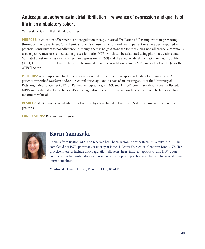#### Anticoagulant adherence in atrial fibrillation – relevance of depression and quality of life in an ambulatory cohort

Yamazaki K, Gisi B, Hall DL, Magnani JW

**PURPOSE:** Medication adherence to anticoagulation therapy in atrial fibrillation (AF) is important in preventing thromboembolic events and/or ischemic stroke. Psychosocial factors and health perceptions have been reported as potential contributors to nonadherence. Although there is no gold standard for measuring nonadherence, a commonly used objective measure is medication possession ratio (MPR) which can be calculated using pharmacy claims data. Validated questionnaires exist to screen for depression (PHQ-9) and the effect of atrial fibrillation on quality of life (AFEQT). The purpose of this study is to determine if there is a correlation between MPR and either the PHQ-9 or the AFEQT scores.

**METHODS:** A retrospective chart review was conducted to examine prescription refill data for non-valvular AF patients prescribed warfarin and/or direct oral anticoagulants as part of an existing study at the University of Pittsburgh Medical Center (UPMC). Patient demographics, PHQ-9, and AFEQT scores have already been collected. MPRs were calculated for each patient's anticoagulation therapy over a 12-month period and will be truncated to a maximum value of 1.

**RESULTS:** MPRs have been calculated for the 119 subjects included in this study. Statistical analysis is currently in progress.

**CONCLUSIONS:** Research in progress



### **Karin Yamazaki**

Karin is from Boston, MA, and received her PharmD from Northeastern University in 2016. She completed her PGY1 pharmacy residency at James J. Peters VA Medical Center in Bronx, NY. Her practice interests include anticoagulation, diabetes, heart failure, hepatitis C, and HIV. Upon completion of her ambulatory care residency, she hopes to practice as a clinical pharmacist in an outpatient clinic.

**Mentor(s):** Deanne L. Hall, PharmD, CDE, BCACP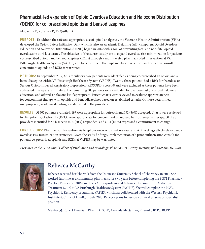#### Pharmacist-led expansion of Opioid Overdose Education and Naloxone Distribution (OEND) for co-prescribed opioids and benzodiazepines

McCarthy R, Kozarian R, McQuillan A

**PURPOSE:** To address the safe and appropriate use of opioid analgesics, the Veteran's Health Administration (VHA) developed the Opioid Safety Initiative (OSI), which is also an Academic Detailing (AD) campaign. Opioid Overdose Education and Naloxone Distribution (OEND) began in 2014 with a goal of preventing fatal and non-fatal opioid overdoses in at-risk veterans. The objectives of the current study are to expand overdose risk minimization for patients co-prescribed opioids and benzodiazepines (BZDs) through a multi-faceted pharmacist-led intervention at VA Pittsburgh Healthcare System (VAPHS) and to determine if the implementation of a prior authorization consult for concomitant opioids and BZDs is warranted.

**METHODS:** In September 2017, 328 ambulatory care patients were identified as being co-prescribed an opioid and a benzodiazepine within VA Pittsburgh Healthcare System (VAPHS). Twenty-three patients had a Risk for Overdose or Serious Opioid-Induced Respiratory Depression (RIOSORD) score >8 and were excluded as these patients have been addressed in a separate initiative. The remaining 305 patients were evaluated for overdose risk, provided naloxone education, and offered a naloxone kit if appropriate. Patient charts were reviewed to evaluate appropriateness for concomitant therapy with opioids and benzodiazepines based on established criteria. Of those determined inappropriate, academic detailing was delivered to the providers.

**RESULTS:** Of 305 patients evaluated, 197 were appropriate for outreach and 152 (86%) accepted. Charts were reviewed for 145 patients, of whom 15 (10.3%) were appropriate for concomitant opioid and benzodiazepine therapy. Of the 8 providers identified for AD meetings, 4 (50%) responded, and all 4 (100%) expressed a commitment to change.

**CONCLUSIONS:** Pharmacist intervention via telephone outreach, chart reviews, and AD meetings effectively expands overdose risk minimization strategies. Given the study findings, implementation of a prior authorization consult for patients co-prescribed opioids and BZDs at VAPHS may be warranted.

*Presented at the 21st Annual College of Psychiatric and Neurologic Pharmacists (CPNP) Meeting, Indianapolis, IN, 2018.*



### **Rebecca McCarthy**

Rebecca received her PharmD from the Duquesne University School of Pharmacy in 2013. She worked full time as a community pharmacist for two years before completing the PGY1 Pharmacy Practice Residency (2016) and the VA Interprofessional Advanced Fellowship in Addiction Treatment (2017) at VA Pittsburgh Healthcare System (VAPHS). She will complete the PGY2 Psychiatric Residency program at VAPHS, which has collaborated with the Western Psychiatric Institute & Clinic of UPMC, in July 2018. Rebecca plans to pursue a clinical pharmacy specialist position.

**Mentor(s):** Robert Kozarian, PharmD, BCPP; Amanda McQuillan, PharmD, BCPS, BCPP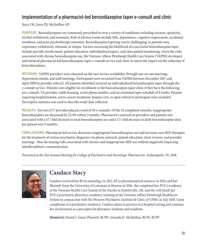#### Implementation of a pharmacist-led benzodiazepine taper e-consult and clinic

Stacy CR, Greer DJ, McQuillan AD

**PURPOSE:** Benzodiazepines are commonly prescribed to treat a variety of conditions including seizures, spasticity, alcohol withdrawal, and insomnia. Risk of adverse events include falls, dependence, cognitive impairment, accidental overdoses, and poor psychotherapy outcomes. Benzodiazepine tapering can be challenging, as patients may experience withdrawal, rebound, or relapse. Factors increasing the likelihood of a successful benzodiazepine taper include provider involvement, patient education, individualized tapers, and close patient monitoring. Given the risks associated with chronic benzodiazepine use, the Veterans Affairs Pittsburgh Health Care System (VAPHS) developed and initiated pharmacist-led benzodiazepine taper e-consult service and clinic to assess the impact on the reduction of benzodiazepines.

**METHODS:** VAPHS providers were educated on the new service availability through one-on-one meetings, department emails, and staff meetings. Participants were recruited from VAPHS between December 2017 and April 2018 by provider referral. All patients identified received an individualized benzodiazepine taper through the e-consult service. Patients were eligible for enrollment in the benzodiazepine taper clinic if they have the following: an e-consult, VA provider, stable housing, active phone number, and an estimated taper schedule of 8 weeks. Patients requiring hospitalization, active cancer treatment, hospice care, or upon refusal to participate were excluded. Descriptive statistics was used to describe study data collected.

**RESULTS:** Ten out of 57 providers placed a total of 50 e-consults. Of the 24 completed consults, inappropriate benzodiazepine use decreased by 22.4% within 3 months. Pharmacist's outreach to providers and patients was associated with a 17.7-fold decrease in total benzodiazepine use and a 7.3- fold decrease in daily benzodiazepine dose per patient over 3 months.

**CONCLUSIONS:** Pharmacist-led service decreases inappropriate benzodiazepine use and increases non-BZD therapies for the treatment of various psychiatric diagnoses via phone outreach, patient education, chart reviews, and provider meetings - thus decreasing risks associated with chronic and inappropriate BZD use without negatively impacting interdisciplinary communication.

*Presented at the 21st Annual Meeting for College of Psychiatric and Neurologic Pharmacists, Indianapolis, IN, 2018.*



#### **Candace Stacy**

Candace received her BS in toxicology in 2012, BS in pharmaceutical sciences in 2014, and her PharmD from the University of Louisiana at Monroe in 2016. She completed her PGY-1 residency at the Veterans Health Care System of the Ozarks in Fayetteville, AR, and she will finish her PGY-2 psychiatric pharmacy residency training at the Veterans Affairs Pittsburgh Healthcare System in conjunction with the Western Psychiatric Institute & Clinic of UPMC in July 2018. Upon completion of a psychiatric residency, Candace plans to practice in a hospital setting and continue her involvement as a preceptor for pharmacy students and residents.

**Mentor(s):** Daniel J. Greer, PharmD, BCPP; Amanda D. McQuillan, BCPS, BCPP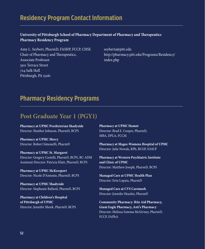# **Residency Program Contact Information**

#### **University of Pittsburgh School of Pharmacy Department of Pharmacy and Therapeutics Pharmacy Residency Program**

Amy L. Seybert, PharmD, FASHP, FCCP, CHSE Chair of Pharmacy and Therapeutics, Associate Professor 3501 Terrace Street 724 Salk Hall Pittsburgh, PA 15261

seyberta@pitt.edu http://pharmacy.pitt.edu/Programs/Residency/ index.php

### **Pharmacy Residency Programs**

#### **Post Graduate Year 1 (PGY1)**

**Pharmacy at UPMC Presbyterian Shadyside**  Director: Heather Johnson, PharmD, BCPS

**Pharmacy at UPMC Mercy**  Director: Robert Simonelli, PharmD

**Pharmacy at UPMC St. Margaret**  Director: Gregory Castelli, PharmD, BCPS, BC-ADM Assistant Director: Patricia Klatt, PharmD, BCPS

**Pharmacy at UPMC McKeesport**  Director: Nicole D'Antonio, PharmD, BCPS

**Pharmacy at UPMC Shadyside**  Director: Stephanie Ballard, PharmD, BCPS

**Pharmacy at Children's Hospital of Pittsburgh of UPMC**  Director: Jennifer Shenk, PharmD, BCPS **Pharmacy at UPMC Hamot**  Director: Brad E. Cooper, PharmD, MBA, DPLA, FCCM

**Pharmacy at Magee-Womens Hospital of UPMC**  Director: Julie Nowak, RPh, BCGP, FASCP

**Pharmacy at Western Psychiatric Institute and Clinic of UPMC**  Director: Matthew Joseph, PharmD, BCPS

**Managed Care at UPMC Health Plan**  Director: Erin Lopata, PharmD

**Managed Care at CVS Caremark**  Director: Jennifer Heasley, PharmD

**Community Pharmacy: Rite Aid Pharmacy, Giant Eagle Pharmacy, Asti's Pharmacy**  Director: Melissa Somma McGivney, PharmD, FCCP, FAPhA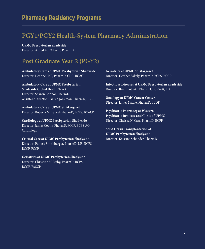# **PGY1/PGY2 Health-System Pharmacy Administration**

**UPMC Presbyterian Shadyside**  Director: Alfred A. L'Altrelli, PharmD

# **Post Graduate Year 2 (PGY2)**

**Ambulatory Care at UPMC Presbyterian Shadyside**  Director: Deanne Hall, PharmD, CDE, BCACP

**Ambulatory Care at UPMC Presbyterian Shadyside Global Health Track**  Director: Sharon Connor, PharmD Assistant Director: Lauren Jonkman, PharmD, BCPS

**Ambulatory Care at UPMC St. Margaret**  Director: Roberta M. Farrah PharmD, BCPS, BCACP

**Cardiology at UPMC Presbyterian Shadyside**  Director: James Coons, PharmD, FCCP, BCPS-AQ Cardiology

**Critical Care at UPMC Presbyterian Shadyside**  Director: Pamela Smithburger, PharmD, MS, BCPS, BCCP, FCCP

**Geriatrics at UPMC Presbyterian Shadyside**  Director: Christine M. Ruby, PharmD, BCPS, BCGP, FASCP

**Geriatrics at UPMC St. Margaret**  Director: Heather Sakely, PharmD, BCPS, BCGP

**Infectious Diseases at UPMC Presbyterian Shadyside**  Director: Brian Potoski, PharmD, BCPS-AQ ID

**Oncology at UPMC Cancer Centers**  Director: James Natale, PharmD, BCOP

**Psychiatric Pharmacy at Western Psychiatric Institute and Clinic of UPMC**  Director: Chelsea N. Carr, PharmD, BCPP

**Solid Organ Transplantation at UPMC Presbyterian Shadyside**  Director: Kristine Schonder, PharmD